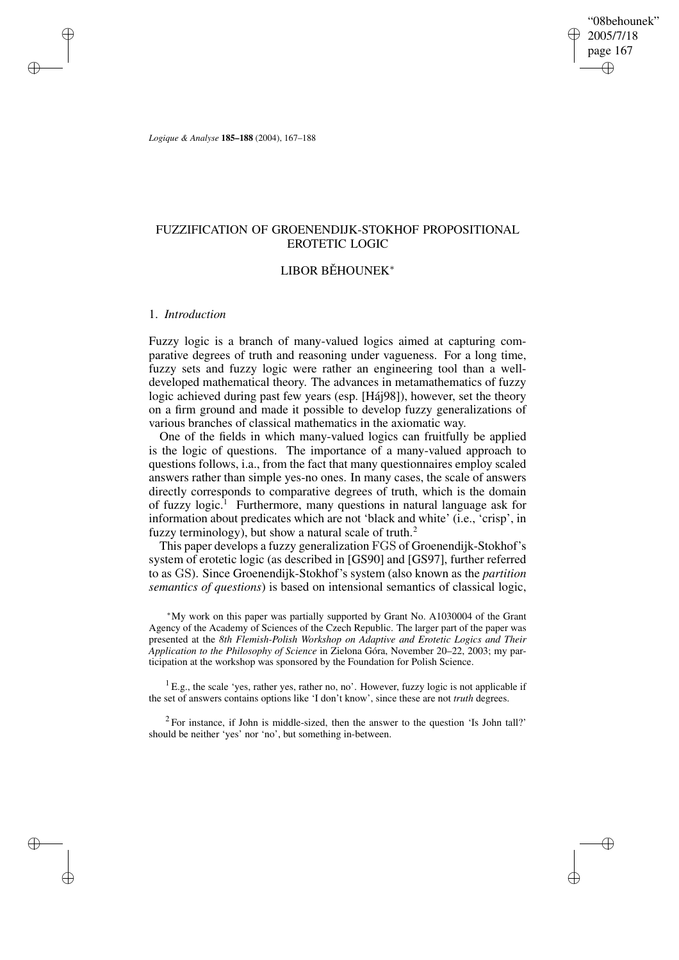"08behounek" 2005/7/18 page 167 ✐ ✐

✐

✐

*Logique & Analyse* **185–188** (2004), 167–188

# FUZZIFICATION OF GROENENDIJK-STOKHOF PROPOSITIONAL EROTETIC LOGIC

# LIBOR BĚHOUNEK<sup>\*</sup>

# 1. *Introduction*

✐

✐

✐

✐

Fuzzy logic is a branch of many-valued logics aimed at capturing comparative degrees of truth and reasoning under vagueness. For a long time, fuzzy sets and fuzzy logic were rather an engineering tool than a welldeveloped mathematical theory. The advances in metamathematics of fuzzy logic achieved during past few years (esp. [Háj98]), however, set the theory on a firm ground and made it possible to develop fuzzy generalizations of various branches of classical mathematics in the axiomatic way.

One of the fields in which many-valued logics can fruitfully be applied is the logic of questions. The importance of a many-valued approach to questions follows, i.a., from the fact that many questionnaires employ scaled answers rather than simple yes-no ones. In many cases, the scale of answers directly corresponds to comparative degrees of truth, which is the domain of fuzzy logic.<sup>1</sup> Furthermore, many questions in natural language ask for information about predicates which are not 'black and white' (i.e., 'crisp', in fuzzy terminology), but show a natural scale of truth.<sup>2</sup>

This paper develops a fuzzy generalization FGS of Groenendijk-Stokhof's system of erotetic logic (as described in [GS90] and [GS97], further referred to as GS). Since Groenendijk-Stokhof's system (also known as the *partition semantics of questions*) is based on intensional semantics of classical logic,

<sup>∗</sup>My work on this paper was partially supported by Grant No. A1030004 of the Grant Agency of the Academy of Sciences of the Czech Republic. The larger part of the paper was presented at the *8th Flemish-Polish Workshop on Adaptive and Erotetic Logics and Their Application to the Philosophy of Science* in Zielona Góra, November 20–22, 2003; my participation at the workshop was sponsored by the Foundation for Polish Science.

 ${}^{1}$  E.g., the scale 'yes, rather yes, rather no, no'. However, fuzzy logic is not applicable if the set of answers contains options like 'I don't know', since these are not *truth* degrees.

 $2^2$  For instance, if John is middle-sized, then the answer to the question 'Is John tall?' should be neither 'yes' nor 'no', but something in-between.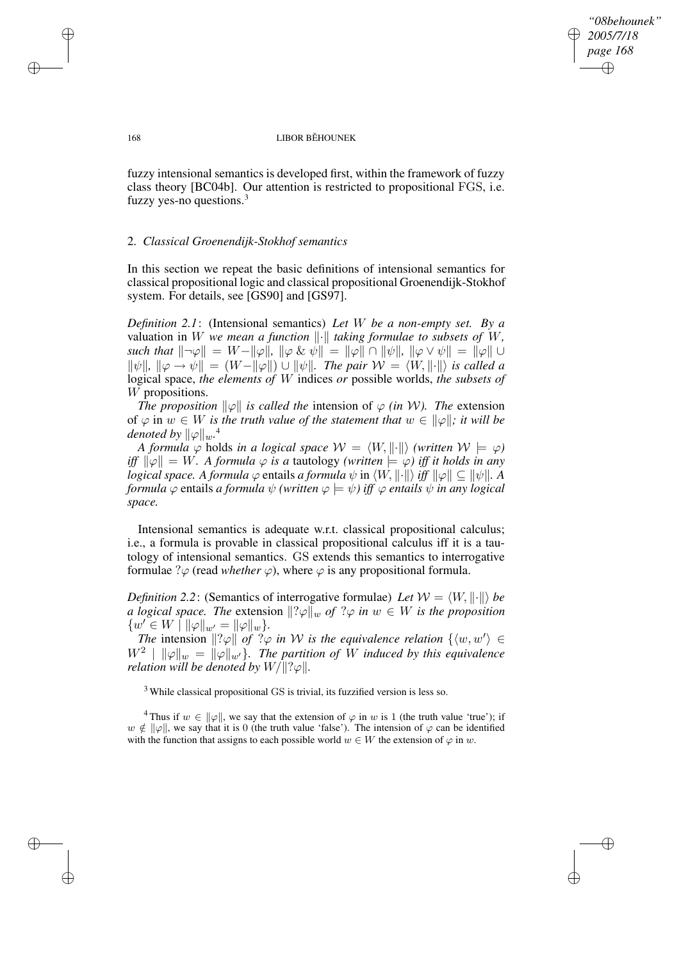*"08behounek" 2005/7/18 page 168* ✐ ✐

✐

✐

#### 168 LIBOR BĚHOUNEK

fuzzy intensional semantics is developed first, within the framework of fuzzy class theory [BC04b]. Our attention is restricted to propositional FGS, i.e. fuzzy yes-no questions.<sup>3</sup>

## 2. *Classical Groenendijk-Stokhof semantics*

In this section we repeat the basic definitions of intensional semantics for classical propositional logic and classical propositional Groenendijk-Stokhof system. For details, see [GS90] and [GS97].

*Definition 2.1*: (Intensional semantics) *Let* W *be a non-empty set. By a* valuation in W we mean a function  $\|\cdot\|$  taking formulae to subsets of W, *such that*  $\|\neg \varphi\| = W - \|\varphi\|$ ,  $\|\varphi \& \psi\| = \|\varphi\| \cap \|\psi\|$ ,  $\|\varphi \vee \psi\| = \|\varphi\| \cup$  $\|\psi\|$ ,  $\|\varphi \to \psi\| = (W - \|\varphi\|) \cup \|\psi\|$ . The pair  $\mathcal{W} = \langle W, \|\cdot\|\rangle$  is called a logical space, *the elements of* W indices *or* possible worlds, *the subsets of* W propositions.

*The proposition*  $\|\varphi\|$  *is called the intension of*  $\varphi$  *(in W). The extension* of  $\varphi$  in  $w \in W$  *is the truth value of the statement that*  $w \in ||\varphi||$ *; it will be denoted by*  $\|\varphi\|_w$ .<sup>4</sup>

*A formula*  $\varphi$  *holds in a logical space*  $W = \langle W, \|\cdot\|\rangle$  *(written*  $W \models \varphi$ )  $if$   $\|\psi\| = W$ . *A formula*  $\varphi$  *is a tautology (written*  $\models \varphi$ ) *iff it holds in any logical space. A formula*  $\varphi$  entails *a formula*  $\psi$  in  $\langle W, \|\cdot\| \rangle$  *iff*  $\|\varphi\| \subseteq \|\psi\|$ . A *formula*  $\varphi$  entails *a formula*  $\psi$  *(written*  $\varphi \models \psi$ *) iff*  $\varphi$  *entails*  $\psi$  *in any logical space.*

Intensional semantics is adequate w.r.t. classical propositional calculus; i.e., a formula is provable in classical propositional calculus iff it is a tautology of intensional semantics. GS extends this semantics to interrogative formulae  $\partial \varphi$  (read *whether*  $\varphi$ ), where  $\varphi$  is any propositional formula.

*Definition* 2.2: (Semantics of interrogative formulae) Let  $W = \langle W, \|\cdot\|\rangle$  be *a logical space. The* extension  $\lVert ?\varphi \rVert_w$  *of*  $? \varphi$  *in*  $w \in W$  *is the proposition*  $\{w' \in W \mid ||\varphi||_{w'} = ||\varphi||_w\}.$ 

*The* intension  $\Vert ?\varphi \Vert$  *of*  $\Im \varphi$  *in W is the equivalence relation*  $\{ \langle w, w' \rangle \in$  $W^2 \parallel ||\varphi||_w = ||\varphi||_{w'}$ . The partition of W induced by this equivalence *relation will be denoted by*  $W/||?$  $\varphi||$ *.* 

<sup>3</sup> While classical propositional GS is trivial, its fuzzified version is less so.

<sup>4</sup>Thus if  $w \in ||\varphi||$ , we say that the extension of  $\varphi$  in w is 1 (the truth value 'true'); if  $w \notin ||\varphi||$ , we say that it is 0 (the truth value 'false'). The intension of  $\varphi$  can be identified with the function that assigns to each possible world  $w \in W$  the extension of  $\varphi$  in w.

✐

✐

✐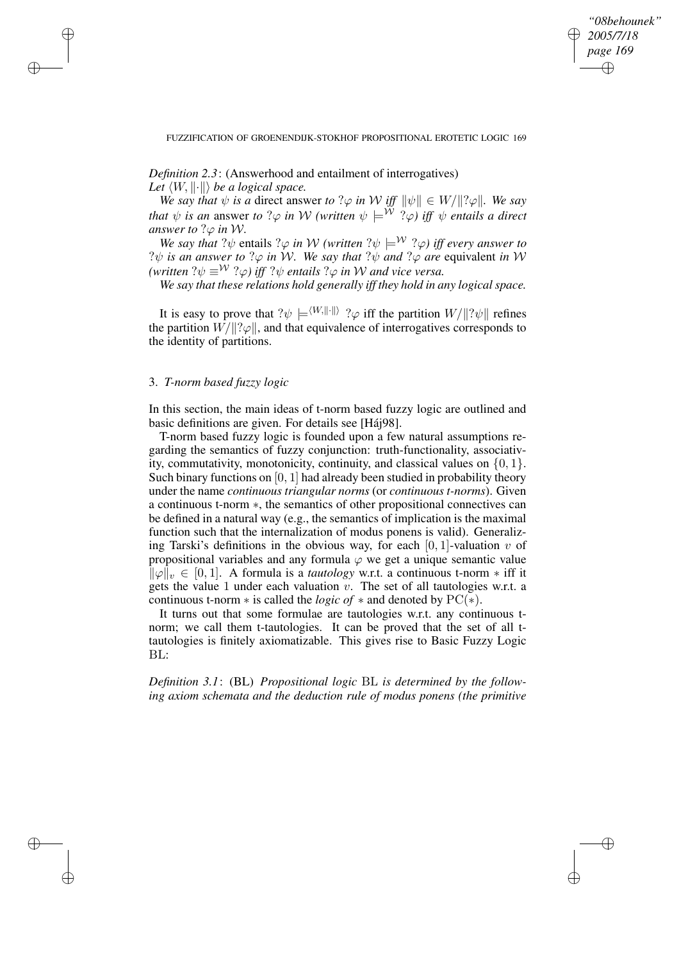*"08behounek" 2005/7/18 page 169* ✐ ✐

✐

✐

### FUZZIFICATION OF GROENENDIJK-STOKHOF PROPOSITIONAL EROTETIC LOGIC 169

*Definition 2.3*: (Answerhood and entailment of interrogatives) *Let*  $\langle W, \|\cdot\|\rangle$  *be a logical space.* 

*We* say that  $\psi$  is a direct answer to ? $\varphi$  in W iff  $\|\psi\| \in W/\|?\varphi\|$ *. We say that*  $\psi$  *is an* answer *to* ? $\varphi$  *in* W (written  $\psi \models^{\mathcal{W}}$  ? $\varphi$ ) *iff*  $\psi$  *entails a direct answer to*  $?$  $\varphi$  *in*  $W$ *.* 

*We say that*  $?$  $\psi$  entails  $?$  $\varphi$  *in*  $W$  *(written*  $?$  $\psi$   $\models$ <sup>*W*</sup>  $?$  $\varphi$ ) *iff every answer to*  $?$  $\psi$  *is an answer to*  $?$  $\varphi$  *in*  $W$ *. We say that*  $?$  $\psi$  *and*  $?$  $\varphi$  *are* equivalent *in*  $W$  $(written ?\psi \equiv^{\mathcal{W}} ?\varphi)$  *iff*  $? \psi$  *entails*  $? \varphi$  *in*  $\mathcal{W}$  *and vice versa.* 

*We say that these relations hold generally iff they hold in any logical space.*

It is easy to prove that  $? \psi \models^{\langle W, \Vert \cdot \Vert} ? \varphi$  iff the partition  $W/ \Vert ? \psi \Vert$  refines the partition  $W/\Vert \cdot \varphi \Vert$ , and that equivalence of interrogatives corresponds to the identity of partitions.

# 3. *T-norm based fuzzy logic*

✐

✐

✐

✐

In this section, the main ideas of t-norm based fuzzy logic are outlined and basic definitions are given. For details see [Háj98].

T-norm based fuzzy logic is founded upon a few natural assumptions regarding the semantics of fuzzy conjunction: truth-functionality, associativity, commutativity, monotonicity, continuity, and classical values on  $\{0, 1\}$ . Such binary functions on  $[0, 1]$  had already been studied in probability theory under the name *continuous triangular norms* (or *continuous t-norms*). Given a continuous t-norm ∗, the semantics of other propositional connectives can be defined in a natural way (e.g., the semantics of implication is the maximal function such that the internalization of modus ponens is valid). Generalizing Tarski's definitions in the obvious way, for each  $[0, 1]$ -valuation v of propositional variables and any formula  $\varphi$  we get a unique semantic value  $\|\varphi\|_{v} \in [0, 1]$ . A formula is a *tautology* w.r.t. a continuous t-norm  $*$  iff it gets the value 1 under each valuation  $v$ . The set of all tautologies w.r.t. a continuous t-norm ∗ is called the *logic of* ∗ and denoted by PC(∗).

It turns out that some formulae are tautologies w.r.t. any continuous tnorm; we call them t-tautologies. It can be proved that the set of all ttautologies is finitely axiomatizable. This gives rise to Basic Fuzzy Logic BL:

*Definition 3.1*: (BL) *Propositional logic* BL *is determined by the following axiom schemata and the deduction rule of modus ponens (the primitive*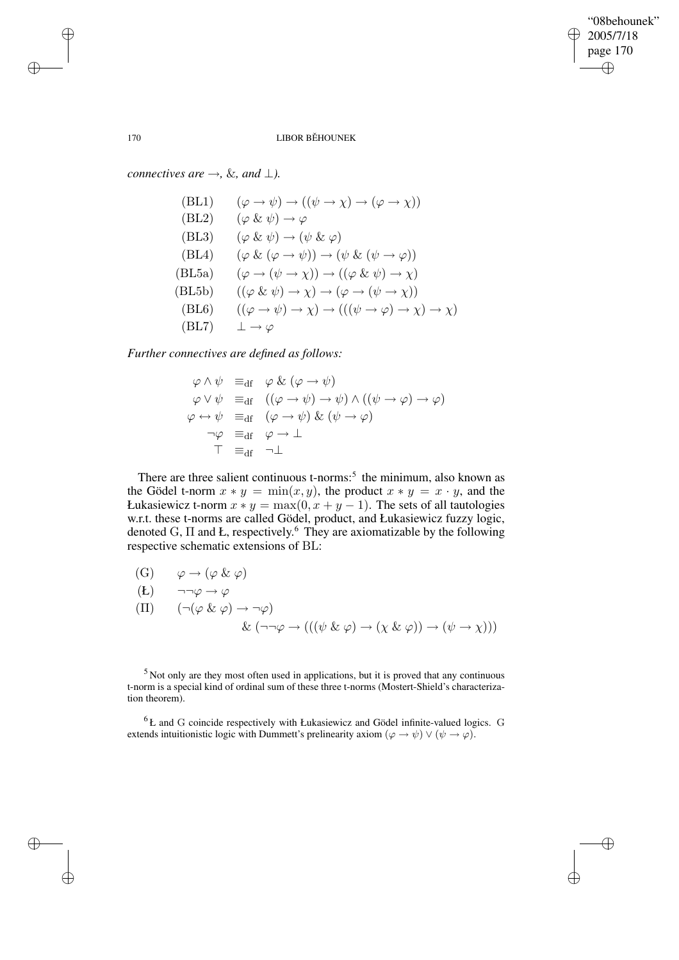✐

### 170 LIBOR BĚHOUNEK

*connectives*  $\textit{are} \rightarrow \infty$ *, &, and*  $\perp$ *).* 

(BL1)  $(\varphi \to \psi) \to ((\psi \to \chi) \to (\varphi \to \chi))$ (BL2)  $(\varphi \& \psi) \rightarrow \varphi$ (BL3)  $(\varphi \& \psi) \rightarrow (\psi \& \varphi)$ (BL4)  $(\varphi \& (\varphi \rightarrow \psi)) \rightarrow (\psi \& (\psi \rightarrow \varphi))$ (BL5a)  $(\varphi \to (\psi \to \chi)) \to ((\varphi \& \psi) \to \chi)$ (BL5b)  $((\varphi \& \psi) \rightarrow \chi) \rightarrow (\varphi \rightarrow (\psi \rightarrow \chi))$ (BL6)  $((\varphi \to \psi) \to \chi) \to (((\psi \to \varphi) \to \chi) \to \chi)$  $(BL7)$   $\perp \rightarrow \varphi$ 

*Further connectives are defined as follows:*

$$
\varphi \land \psi =_{df} \varphi \& (\varphi \to \psi)
$$
  
\n
$$
\varphi \lor \psi =_{df} ((\varphi \to \psi) \to \psi) \land ((\psi \to \varphi) \to \varphi)
$$
  
\n
$$
\varphi \leftrightarrow \psi =_{df} (\varphi \to \psi) \& (\psi \to \varphi)
$$
  
\n
$$
\neg \varphi =_{df} \varphi \to \bot
$$
  
\n
$$
\top =_{df} \neg \bot
$$

There are three salient continuous t-norms:<sup>5</sup> the minimum, also known as the Gödel t-norm  $x * y = min(x, y)$ , the product  $x * y = x \cdot y$ , and the Łukasiewicz t-norm  $x * y = max(0, x + y - 1)$ . The sets of all tautologies w.r.t. these t-norms are called Gödel, product, and Łukasiewicz fuzzy logic, denoted G,  $\Pi$  and Ł, respectively.<sup>6</sup> They are axiomatizable by the following respective schematic extensions of BL:

(G)  $\varphi \to (\varphi \& \varphi)$ 

$$
(L) \qquad \neg \neg \varphi \to \varphi
$$

$$
\begin{array}{ll}\n\text{(II)} & \left( \neg(\varphi \& \varphi) \rightarrow \neg \varphi \right) \\
& \& \left( \neg \neg \varphi \rightarrow \left( \left( \left( \psi \& \varphi \right) \rightarrow \left( \chi \& \varphi \right) \right) \rightarrow \left( \psi \rightarrow \chi \right) \right) \right)\n\end{array}
$$

<sup>5</sup> Not only are they most often used in applications, but it is proved that any continuous t-norm is a special kind of ordinal sum of these three t-norms (Mostert-Shield's characterization theorem).

 ${}^{6}$  Ł and G coincide respectively with Łukasiewicz and Gödel infinite-valued logics. G extends intuitionistic logic with Dummett's prelinearity axiom  $(\varphi \to \psi) \lor (\psi \to \varphi)$ .

✐

✐

✐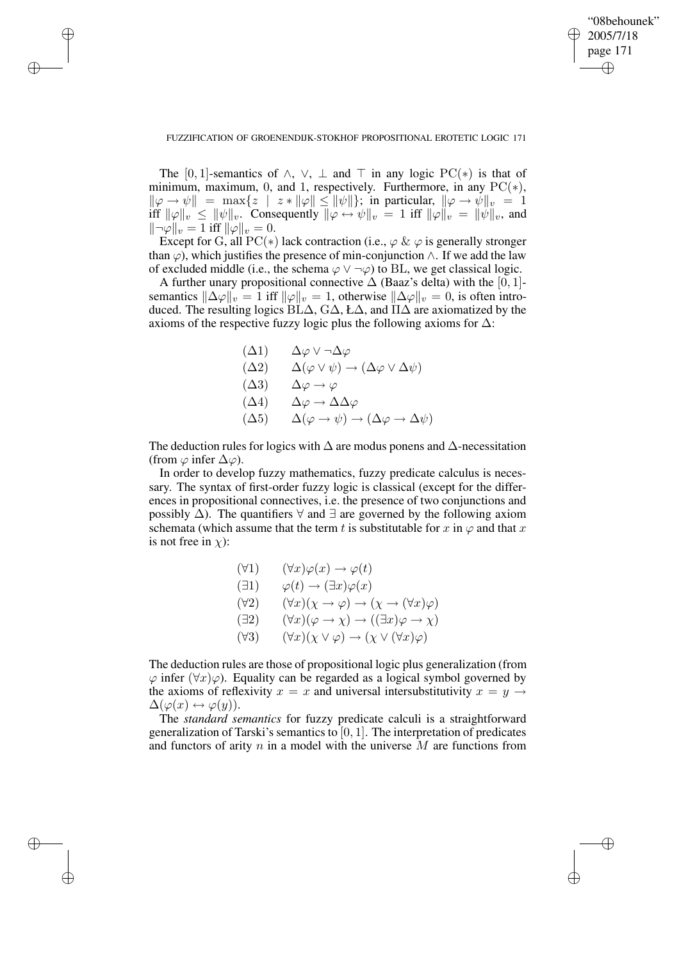✐

### FUZZIFICATION OF GROENENDIJK-STOKHOF PROPOSITIONAL EROTETIC LOGIC 171

✐

✐

✐

✐

The [0, 1]-semantics of  $\wedge$ ,  $\vee$ ,  $\perp$  and  $\top$  in any logic PC(\*) is that of minimum, maximum, 0, and 1, respectively. Furthermore, in any  $PC(*)$ ,  $\|\varphi \to \psi\| = \max\{z \mid z * \|\varphi\| \le \|\psi\|\};$  in particular,  $\|\varphi \to \psi\|_{v} = 1$ iff  $\|\varphi\|_v \le \|\psi\|_v$ . Consequently  $\|\varphi \leftrightarrow \psi\|_v = 1$  iff  $\|\varphi\|_v = \|\psi\|_v$ , and  $\|\neg\varphi\|_v = 1$  iff  $\|\varphi\|_v = 0$ .

Except for G, all PC( $*$ ) lack contraction (i.e.,  $\varphi \& \varphi$  is generally stronger than  $\varphi$ ), which justifies the presence of min-conjunction  $\wedge$ . If we add the law of excluded middle (i.e., the schema  $\varphi \lor \neg \varphi$ ) to BL, we get classical logic.

A further unary propositional connective  $\Delta$  (Baaz's delta) with the [0, 1]semantics  $\|\Delta \varphi\|_v = 1$  iff  $\|\varphi\|_v = 1$ , otherwise  $\|\Delta \varphi\|_v = 0$ , is often introduced. The resulting logics BL $\Delta$ , G $\Delta$ , Ł $\Delta$ , and  $\Pi\Delta$  are axiomatized by the axioms of the respective fuzzy logic plus the following axioms for  $\Delta$ :

$$
\begin{array}{ll}\n(\Delta 1) & \Delta \varphi \vee \neg \Delta \varphi \\
(\Delta 2) & \Delta (\varphi \vee \psi) \to (\Delta \varphi \vee \Delta \psi) \\
(\Delta 3) & \Delta \varphi \to \varphi \\
(\Delta 4) & \Delta \varphi \to \Delta \Delta \varphi \\
(\Delta 5) & \Delta (\varphi \to \psi) \to (\Delta \varphi \to \Delta \psi)\n\end{array}
$$

The deduction rules for logics with  $\Delta$  are modus ponens and  $\Delta$ -necessitation (from  $\varphi$  infer  $\Delta \varphi$ ).

In order to develop fuzzy mathematics, fuzzy predicate calculus is necessary. The syntax of first-order fuzzy logic is classical (except for the differences in propositional connectives, i.e. the presence of two conjunctions and possibly  $\Delta$ ). The quantifiers  $\forall$  and  $\exists$  are governed by the following axiom schemata (which assume that the term t is substitutable for x in  $\varphi$  and that x is not free in  $\chi$ ):

$$
(\forall 1) \quad (\forall x)\varphi(x) \to \varphi(t)
$$
  
\n
$$
(\exists 1) \quad \varphi(t) \to (\exists x)\varphi(x)
$$
  
\n
$$
(\forall 2) \quad (\forall x)(\chi \to \varphi) \to (\chi \to (\forall x)\varphi)
$$
  
\n
$$
(\exists 2) \quad (\forall x)(\varphi \to \chi) \to ((\exists x)\varphi \to \chi)
$$
  
\n
$$
(\forall 3) \quad (\forall x)(\chi \lor \varphi) \to (\chi \lor (\forall x)\varphi)
$$

The deduction rules are those of propositional logic plus generalization (from  $\varphi$  infer  $(\forall x)\varphi$ ). Equality can be regarded as a logical symbol governed by the axioms of reflexivity  $x = x$  and universal intersubstitutivity  $x = y \rightarrow$  $\Delta(\varphi(x) \leftrightarrow \varphi(y)).$ 

The *standard semantics* for fuzzy predicate calculi is a straightforward generalization of Tarski's semantics to [0, 1]. The interpretation of predicates and functors of arity n in a model with the universe  $\overline{M}$  are functions from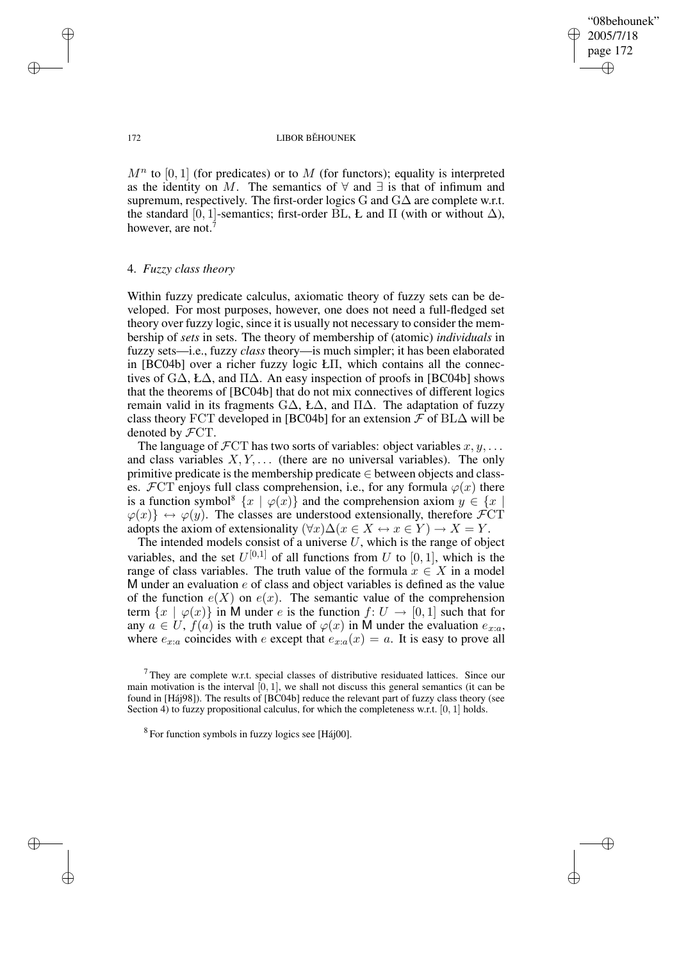✐

#### 172 LIBOR BĚHOUNEK

 $M<sup>n</sup>$  to [0, 1] (for predicates) or to M (for functors); equality is interpreted as the identity on M. The semantics of  $\forall$  and  $\exists$  is that of infimum and supremum, respectively. The first-order logics G and  $G\Delta$  are complete w.r.t. the standard [0, 1]-semantics; first-order BL, Ł and  $\Pi$  (with or without  $\Delta$ ), however, are not.<sup>7</sup>

# 4. *Fuzzy class theory*

Within fuzzy predicate calculus, axiomatic theory of fuzzy sets can be developed. For most purposes, however, one does not need a full-fledged set theory over fuzzy logic, since it is usually not necessary to consider the membership of *sets* in sets. The theory of membership of (atomic) *individuals* in fuzzy sets—i.e., fuzzy *class* theory—is much simpler; it has been elaborated in [BC04b] over a richer fuzzy logic ŁΠ, which contains all the connectives of  $G\Delta$ , Ł $\Delta$ , and  $\Pi\Delta$ . An easy inspection of proofs in [BC04b] shows that the theorems of [BC04b] that do not mix connectives of different logics remain valid in its fragments  $G\Delta$ , Ł $\Delta$ , and  $\Pi\Delta$ . The adaptation of fuzzy class theory FCT developed in [BC04b] for an extension  $\mathcal F$  of BL $\Delta$  will be denoted by FCT.

The language of  $\mathcal{F}CT$  has two sorts of variables: object variables  $x, y, \ldots$ and class variables  $X, Y, \ldots$  (there are no universal variables). The only primitive predicate is the membership predicate ∈ between objects and classes.  $\mathcal{F}CT$  enjoys full class comprehension, i.e., for any formula  $\varphi(x)$  there is a function symbol<sup>8</sup>  $\{x \mid \varphi(x)\}$  and the comprehension axiom  $y \in \{x \}$  $\varphi(x)$   $\leftrightarrow \varphi(y)$ . The classes are understood extensionally, therefore FCT adopts the axiom of extensionality  $(\forall x)\Delta(x \in X \leftrightarrow x \in Y) \rightarrow X = Y$ .

The intended models consist of a universe  $U$ , which is the range of object variables, and the set  $U^{[0,1]}$  of all functions from U to [0, 1], which is the range of class variables. The truth value of the formula  $x \in X$  in a model M under an evaluation  $e$  of class and object variables is defined as the value of the function  $e(X)$  on  $e(x)$ . The semantic value of the comprehension term  $\{x \mid \varphi(x)\}$  in M under e is the function  $f: U \to [0, 1]$  such that for any  $a \in U$ ,  $f(a)$  is the truth value of  $\varphi(x)$  in M under the evaluation  $e_{x:a}$ , where  $e_{x:a}$  coincides with e except that  $e_{x:a}(x) = a$ . It is easy to prove all

✐

✐

✐

 $7$  They are complete w.r.t. special classes of distributive residuated lattices. Since our main motivation is the interval  $[0, 1]$ , we shall not discuss this general semantics (it can be found in [Háj98]). The results of [BC04b] reduce the relevant part of fuzzy class theory (see Section 4) to fuzzy propositional calculus, for which the completeness w.r.t. [0, 1] holds.

<sup>8</sup> For function symbols in fuzzy logics see [Háj00].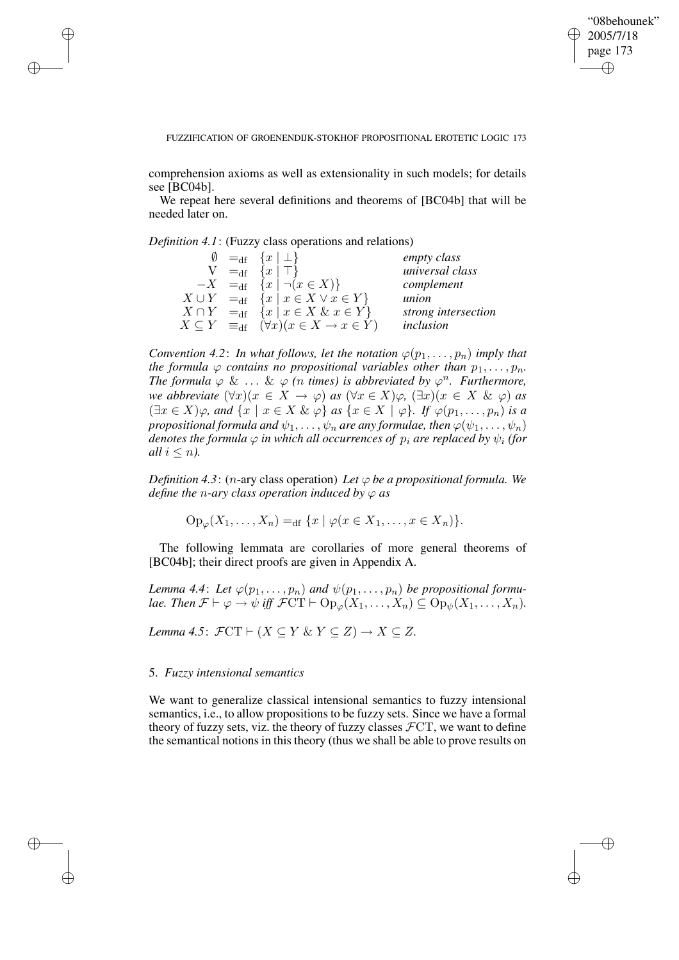✐

#### FUZZIFICATION OF GROENENDIJK-STOKHOF PROPOSITIONAL EROTETIC LOGIC 173

comprehension axioms as well as extensionality in such models; for details see [BC04b].

We repeat here several definitions and theorems of [BC04b] that will be needed later on.

*Definition 4.1*: (Fuzzy class operations and relations)

✐

✐

✐

✐

|  | $\emptyset =_{df} \{x \mid \perp\}$                                         | empty class         |
|--|-----------------------------------------------------------------------------|---------------------|
|  | $V =_{df} \{x \mid \top\}$                                                  | universal class     |
|  | $-X =_{\text{df}} \{x \mid \neg(x \in X)\}\$                                | complement          |
|  | $X \cup Y =_{\text{df}} \{x \mid x \in X \lor x \in Y\}$                    | union               |
|  | $X \cap Y =_{\text{df}} \{x \mid x \in X \& x \in Y\}$                      | strong intersection |
|  | $X \subseteq Y \equiv_{\text{df}} (\forall x)(x \in X \rightarrow x \in Y)$ | inclusion           |

*Convention* 4.2: In what follows, let the notation  $\varphi(p_1, \ldots, p_n)$  imply that *the formula*  $\varphi$  *contains no propositional variables other than*  $p_1, \ldots, p_n$ *. The formula*  $\varphi$  & ... &  $\varphi$  (*n times*) *is abbreviated by*  $\varphi$ <sup>*n*</sup>. *Furthermore, we abbreviate*  $(\forall x)(x \in X \rightarrow \varphi)$  *as*  $(\forall x \in X)\varphi$ ,  $(\exists x)(x \in X \& \varphi)$  *as*  $(\exists x \in X)\varphi$ *, and*  $\{x \mid x \in X \& \varphi\}$  *as*  $\{x \in X \mid \varphi\}$ *. If*  $\varphi(p_1, \ldots, p_n)$  *is a propositional formula and*  $\psi_1, \ldots, \psi_n$  *are any formulae, then*  $\varphi(\psi_1, \ldots, \psi_n)$ *denotes the formula*  $\varphi$  *in which all occurrences of*  $p_i$  *are replaced by*  $\psi_i$  *(for all*  $i \leq n$ *).* 

*Definition* 4.3: (*n*-ary class operation) Let  $\varphi$  be a propositional formula. We *define the n-ary class operation induced by*  $\varphi$  *as* 

 $Op_{\varphi}(X_1, ..., X_n) =_{df} \{x \mid \varphi(x \in X_1, ..., x \in X_n)\}.$ 

The following lemmata are corollaries of more general theorems of [BC04b]; their direct proofs are given in Appendix A.

*Lemma* 4.4: Let  $\varphi(p_1, \ldots, p_n)$  and  $\psi(p_1, \ldots, p_n)$  be propositional formu*lae. Then*  $\mathcal{F} \vdash \varphi \rightarrow \psi$  *iff*  $\mathcal{F}CT \vdash Op_{\varphi}(X_1, \ldots, X_n) \subseteq Op_{\psi}(X_1, \ldots, X_n)$ .

*Lemma* 4.5:  $\mathcal{F}CT \vdash (X \subseteq Y \& Y \subseteq Z) \rightarrow X \subseteq Z$ .

## 5. *Fuzzy intensional semantics*

We want to generalize classical intensional semantics to fuzzy intensional semantics, i.e., to allow propositions to be fuzzy sets. Since we have a formal theory of fuzzy sets, viz. the theory of fuzzy classes  $\mathcal{F}CT$ , we want to define the semantical notions in this theory (thus we shall be able to prove results on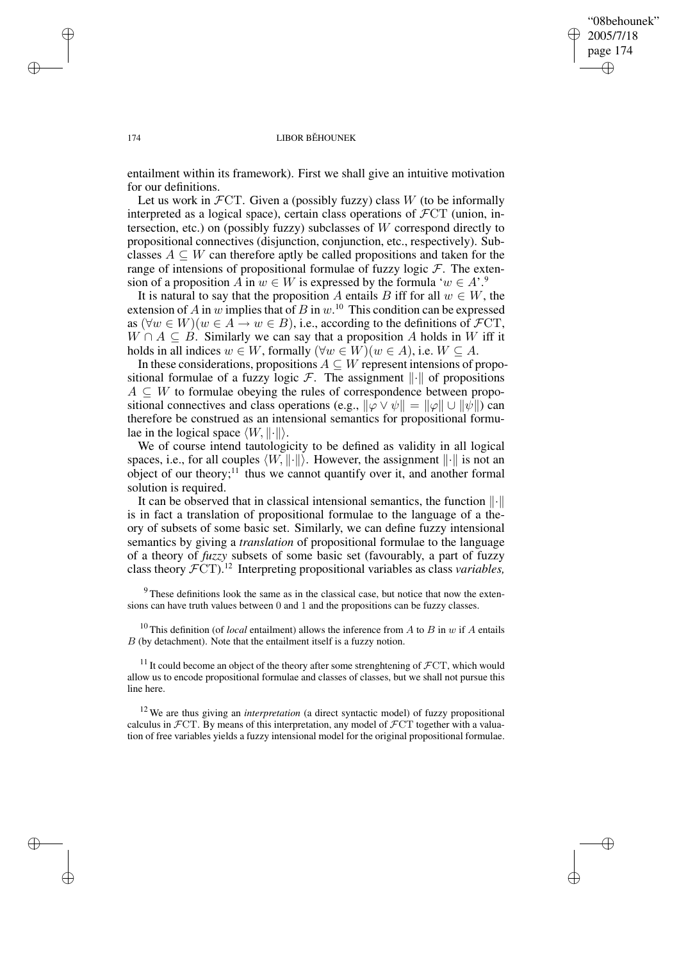✐

#### 174 LIBOR BĚHOUNEK

entailment within its framework). First we shall give an intuitive motivation for our definitions.

Let us work in  $\mathcal{F}CT$ . Given a (possibly fuzzy) class W (to be informally interpreted as a logical space), certain class operations of  $\mathcal{F}CT$  (union, intersection, etc.) on (possibly fuzzy) subclasses of W correspond directly to propositional connectives (disjunction, conjunction, etc., respectively). Subclasses  $A \subseteq W$  can therefore aptly be called propositions and taken for the range of intensions of propositional formulae of fuzzy logic  $\mathcal F$ . The extension of a proposition A in  $w \in W$  is expressed by the formula ' $w \in A$ '.<sup>9</sup>

It is natural to say that the proposition A entails B iff for all  $w \in W$ , the extension of A in w implies that of B in  $w$ .<sup>10</sup> This condition can be expressed as  $(\forall w \in W)(w \in A \rightarrow w \in B)$ , i.e., according to the definitions of  $\mathcal{F}CT$ ,  $W \cap A \subseteq B$ . Similarly we can say that a proposition A holds in W iff it holds in all indices  $w \in W$ , formally  $(\forall w \in W)(w \in A)$ , i.e.  $W \subseteq A$ .

In these considerations, propositions  $A \subseteq W$  represent intensions of propositional formulae of a fuzzy logic  $F$ . The assignment  $\left\| \cdot \right\|$  of propositions  $A \subseteq W$  to formulae obeying the rules of correspondence between propositional connectives and class operations (e.g.,  $\|\varphi \vee \psi\| = \|\varphi\| \cup \|\psi\|$ ) can therefore be construed as an intensional semantics for propositional formulae in the logical space  $\langle W, \|\cdot\|\rangle$ .

We of course intend tautologicity to be defined as validity in all logical spaces, i.e., for all couples  $\langle W, \|\cdot\|\rangle$ . However, the assignment  $\|\cdot\|$  is not an object of our theory; $11$  thus we cannot quantify over it, and another formal solution is required.

It can be observed that in classical intensional semantics, the function  $\lVert \cdot \rVert$ is in fact a translation of propositional formulae to the language of a theory of subsets of some basic set. Similarly, we can define fuzzy intensional semantics by giving a *translation* of propositional formulae to the language of a theory of *fuzzy* subsets of some basic set (favourably, a part of fuzzy class theory FCT).<sup>12</sup> Interpreting propositional variables as class *variables,*

<sup>9</sup> These definitions look the same as in the classical case, but notice that now the extensions can have truth values between 0 and 1 and the propositions can be fuzzy classes.

<sup>10</sup> This definition (of *local* entailment) allows the inference from  $A$  to  $B$  in  $w$  if  $A$  entails B (by detachment). Note that the entailment itself is a fuzzy notion.

<sup>11</sup> It could become an object of the theory after some strenghtening of  $\mathcal{F}CT$ , which would allow us to encode propositional formulae and classes of classes, but we shall not pursue this line here.

<sup>12</sup> We are thus giving an *interpretation* (a direct syntactic model) of fuzzy propositional calculus in  $\mathcal{F}CT$ . By means of this interpretation, any model of  $\mathcal{F}CT$  together with a valuation of free variables yields a fuzzy intensional model for the original propositional formulae.

✐

✐

✐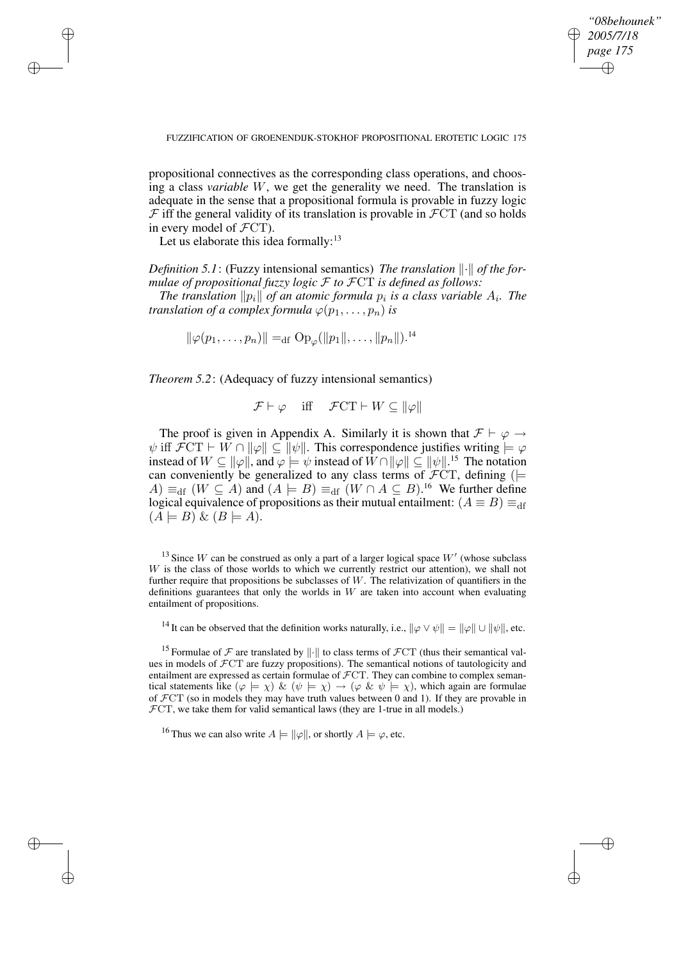✐

#### FUZZIFICATION OF GROENENDIJK-STOKHOF PROPOSITIONAL EROTETIC LOGIC 175

propositional connectives as the corresponding class operations, and choosing a class *variable* W, we get the generality we need. The translation is adequate in the sense that a propositional formula is provable in fuzzy logic  $\mathcal F$  iff the general validity of its translation is provable in  $\mathcal FCT$  (and so holds in every model of  $\mathcal{F}CT$ ).

Let us elaborate this idea formally: $13$ 

✐

✐

✐

✐

*Definition* 5.1: (Fuzzy intensional semantics) *The translation*  $\|\cdot\|$  *of the formulae of propositional fuzzy logic* F *to* FCT *is defined as follows:*

*The translation*  $\|p_i\|$  *of an atomic formula*  $p_i$  *is a class variable*  $A_i$ *. The translation of a complex formula*  $\varphi(p_1, \ldots, p_n)$  *is* 

$$
\|\varphi(p_1,\ldots,p_n)\| =_{\mathrm{df}} \mathrm{Op}_{\varphi}(\|p_1\|,\ldots,\|p_n\|)^{14}
$$

*Theorem 5.2*: (Adequacy of fuzzy intensional semantics)

$$
\mathcal{F} \vdash \varphi
$$
 iff  $\mathcal{F}CT \vdash W \subseteq ||\varphi||$ 

The proof is given in Appendix A. Similarly it is shown that  $\mathcal{F} \vdash \varphi \rightarrow$  $\psi$  iff  $\mathcal{F}CT \vdash W \cap ||\varphi|| \subseteq ||\psi||$ . This correspondence justifies writing  $\models \varphi$ instead of  $W \subseteq ||\varphi||$ , and  $\varphi \models \psi$  instead of  $W \cap ||\varphi|| \subseteq ||\psi||^{15}$  The notation can conveniently be generalized to any class terms of  $\mathcal{F}CT$ , defining ( $\models$  $(A) \equiv_{\text{df}} (W \subseteq A)$  and  $(A \models B) \equiv_{\text{df}} (W \cap A \subseteq B)$ .<sup>16</sup> We further define logical equivalence of propositions as their mutual entailment:  $(A \equiv B) \equiv_{df}$  $(A \models B) \& (B \models A).$ 

<sup>13</sup> Since W can be construed as only a part of a larger logical space  $W'$  (whose subclass  $W$  is the class of those worlds to which we currently restrict our attention), we shall not further require that propositions be subclasses of  $W$ . The relativization of quantifiers in the definitions guarantees that only the worlds in  $W$  are taken into account when evaluating entailment of propositions.

<sup>14</sup> It can be observed that the definition works naturally, i.e.,  $\|\varphi \vee \psi\| = \|\varphi\| \cup \|\psi\|$ , etc.

<sup>15</sup> Formulae of  $\mathcal F$  are translated by  $\|\cdot\|$  to class terms of  $\mathcal FCT$  (thus their semantical values in models of FCT are fuzzy propositions). The semantical notions of tautologicity and entailment are expressed as certain formulae of  $\mathcal{F}CT$ . They can combine to complex semantical statements like  $(\varphi \models \chi) \& (\psi \models \chi) \rightarrow (\varphi \& \psi \models \chi)$ , which again are formulae of  $\mathcal{F}CT$  (so in models they may have truth values between 0 and 1). If they are provable in  $\mathcal{F}CT$ , we take them for valid semantical laws (they are 1-true in all models.)

<sup>16</sup> Thus we can also write  $A \models ||\varphi||$ , or shortly  $A \models \varphi$ , etc.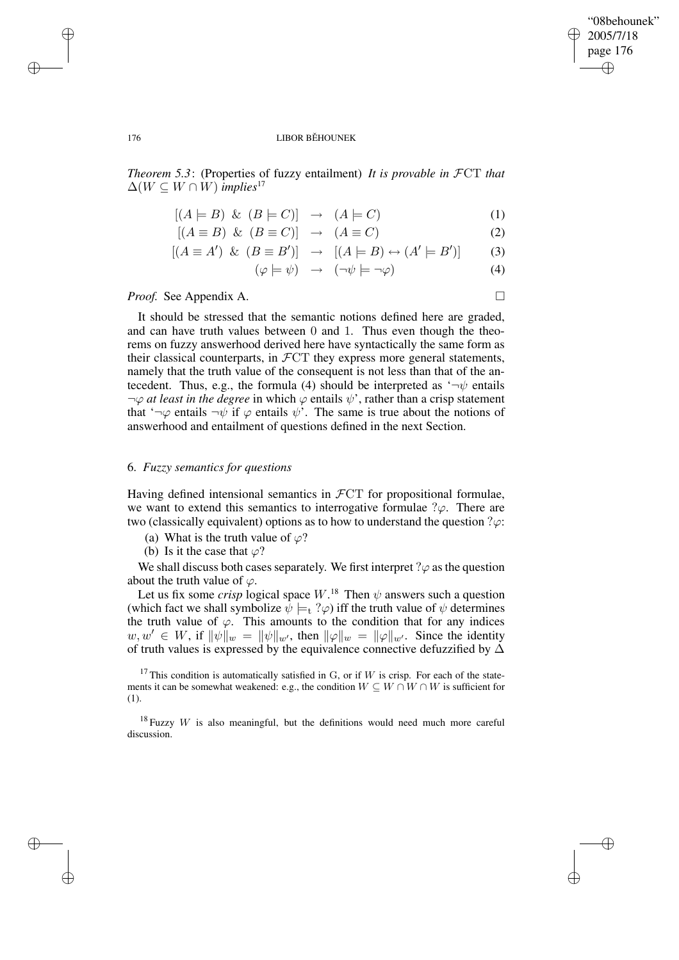✐

#### 176 LIBOR BĚHOUNEK

*Theorem 5.3*: (Properties of fuzzy entailment) *It is provable in* FCT *that*  $\Delta(W \subseteq W \cap W)$  *implies*<sup>17</sup>

$$
[(A \models B) \& (B \models C)] \rightarrow (A \models C) \tag{1}
$$

$$
[(A \equiv B) \& (B \equiv C)] \rightarrow (A \equiv C) \tag{2}
$$

$$
[(A \equiv A') \And (B \equiv B')] \rightarrow [(A \models B) \leftrightarrow (A' \models B')] \tag{3}
$$

$$
(\varphi \models \psi) \rightarrow (\neg \psi \models \neg \varphi) \tag{4}
$$

## *Proof.* See Appendix A. □

It should be stressed that the semantic notions defined here are graded, and can have truth values between 0 and 1. Thus even though the theorems on fuzzy answerhood derived here have syntactically the same form as their classical counterparts, in  $\mathcal{F}CT$  they express more general statements, namely that the truth value of the consequent is not less than that of the antecedent. Thus, e.g., the formula (4) should be interpreted as  $\rightarrow \psi$  entails  $\neg \varphi$  *at least in the degree* in which  $\varphi$  entails  $\psi'$ , rather than a crisp statement that ' $\neg \varphi$  entails  $\neg \psi$  if  $\varphi$  entails  $\psi'$ . The same is true about the notions of answerhood and entailment of questions defined in the next Section.

# 6. *Fuzzy semantics for questions*

Having defined intensional semantics in  $\mathcal{F}CT$  for propositional formulae, we want to extend this semantics to interrogative formulae  $\partial \varphi$ . There are two (classically equivalent) options as to how to understand the question  $\gamma \varphi$ :

- (a) What is the truth value of  $\varphi$ ?
- (b) Is it the case that  $\varphi$ ?

We shall discuss both cases separately. We first interpret  $\gamma \varphi$  as the question about the truth value of  $\varphi$ .

Let us fix some *crisp* logical space  $W$ .<sup>18</sup> Then  $\psi$  answers such a question (which fact we shall symbolize  $\psi \models_t ?\varphi$ ) iff the truth value of  $\psi$  determines the truth value of  $\varphi$ . This amounts to the condition that for any indices  $w, w' \in W$ , if  $\|\psi\|_w = \|\psi\|_{w'}$ , then  $\|\varphi\|_w = \|\varphi\|_{w'}$ . Since the identity of truth values is expressed by the equivalence connective defuzzified by  $\Delta$ 

<sup>17</sup> This condition is automatically satisfied in G, or if W is crisp. For each of the statements it can be somewhat weakened: e.g., the condition  $W \subseteq W \cap W \cap W$  is sufficient for (1).

 $18$  Fuzzy W is also meaningful, but the definitions would need much more careful discussion.

✐

✐

✐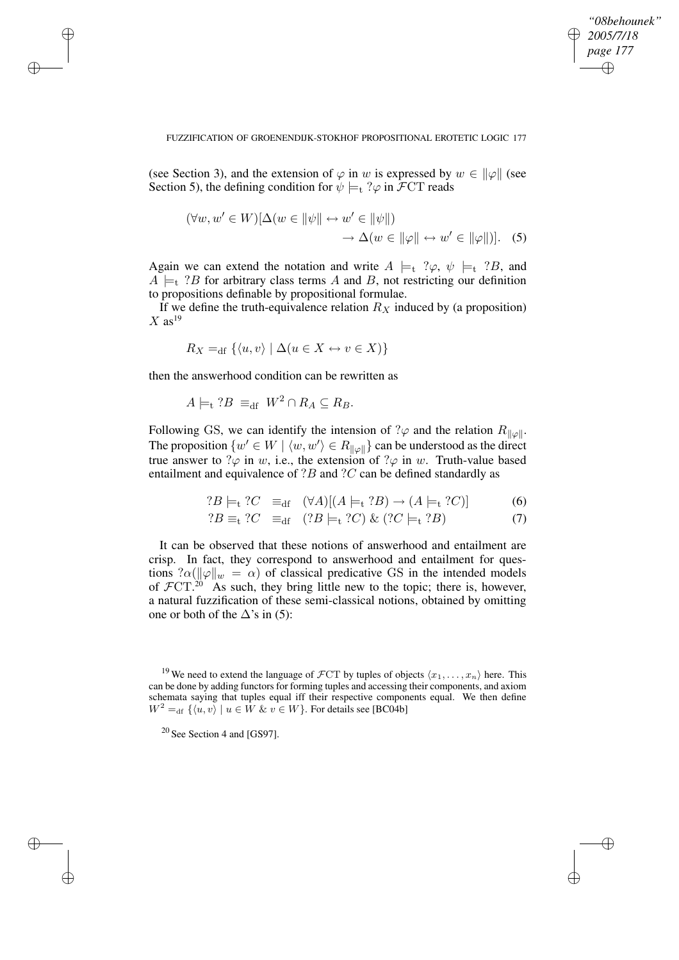✐

#### FUZZIFICATION OF GROENENDIJK-STOKHOF PROPOSITIONAL EROTETIC LOGIC 177

(see Section 3), and the extension of  $\varphi$  in w is expressed by  $w \in ||\varphi||$  (see Section 5), the defining condition for  $\psi \models_t ?\varphi$  in  $\mathcal{F}CT$  reads

$$
(\forall w, w' \in W)[\Delta(w \in ||\psi|| \leftrightarrow w' \in ||\psi||) \rightarrow \Delta(w \in ||\varphi|| \leftrightarrow w' \in ||\varphi||)]. \quad (5)
$$

Again we can extend the notation and write  $A \models_t ?\varphi$ ,  $\psi \models_t ?B$ , and  $A \models_t ?B$  for arbitrary class terms A and B, not restricting our definition to propositions definable by propositional formulae.

If we define the truth-equivalence relation  $R_X$  induced by (a proposition)  $X$  as<sup>19</sup>

$$
R_X =_{\text{df}} \{ \langle u, v \rangle \mid \Delta(u \in X \leftrightarrow v \in X) \}
$$

then the answerhood condition can be rewritten as

✐

✐

✐

✐

$$
A \models_{\mathsf{t}} ?B \equiv_{\mathsf{df}} W^2 \cap R_A \subseteq R_B.
$$

Following GS, we can identify the intension of ? $\varphi$  and the relation  $R_{\|\varphi\|}$ . The proposition  $\{w' \in W \mid \langle w, w' \rangle \in R_{\|\varphi\|}\}$  can be understood as the direct true answer to  $\varphi$  in w, i.e., the extension of  $\varphi$  in w. Truth-value based entailment and equivalence of  $?B$  and  $?C$  can be defined standardly as

$$
?B \models_{t} ?C \equiv_{df} (\forall A)[(A \models_{t} ?B) \rightarrow (A \models_{t} ?C)] \tag{6}
$$

$$
?B \equiv_{\text{t}} ?C \equiv_{\text{df}} (?B \models_{\text{t}} ?C) \& (?C \models_{\text{t}} ?B) \tag{7}
$$

It can be observed that these notions of answerhood and entailment are crisp. In fact, they correspond to answerhood and entailment for questions  $? \alpha (\|\varphi\|_w = \alpha)$  of classical predicative GS in the intended models of  $\mathcal{F}CT.^{20}$  As such, they bring little new to the topic; there is, however, a natural fuzzification of these semi-classical notions, obtained by omitting one or both of the  $\Delta$ 's in (5):

<sup>&</sup>lt;sup>19</sup> We need to extend the language of  $\mathcal{F}CT$  by tuples of objects  $\langle x_1, \ldots, x_n \rangle$  here. This can be done by adding functors for forming tuples and accessing their components, and axiom schemata saying that tuples equal iff their respective components equal. We then define  $W^2 =_{df} {\langle u, v \rangle | u \in W \& v \in W}$ . For details see [BC04b]

 $20$  See Section 4 and [GS97].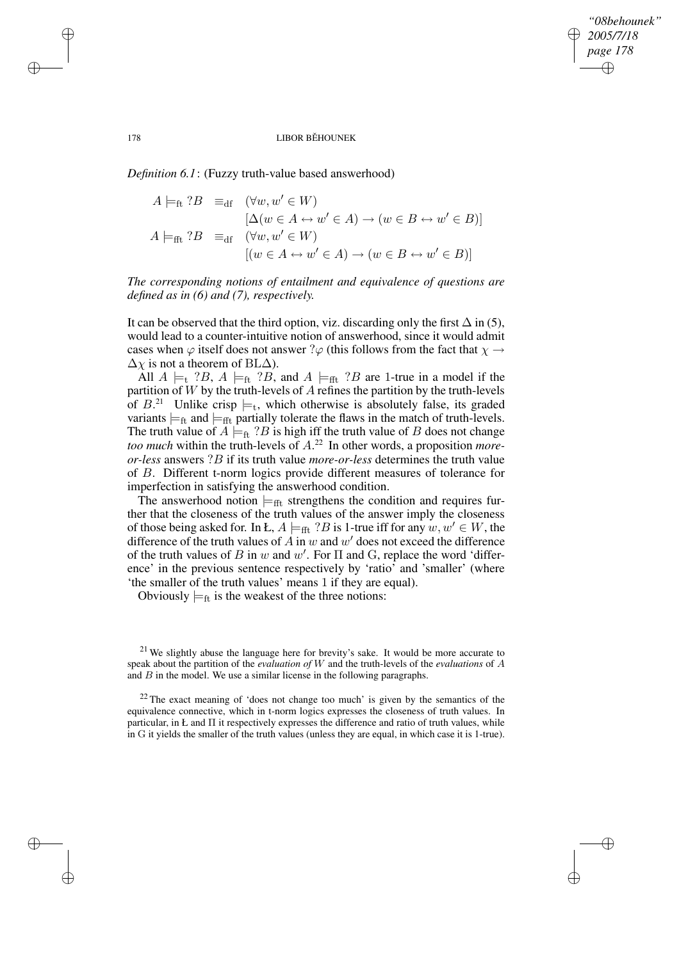✐

#### 178 LIBOR BĚHOUNEK

*Definition 6.1*: (Fuzzy truth-value based answerhood)

$$
A \models_{\text{ft}} ?B \equiv_{\text{df}} (\forall w, w' \in W)
$$
  
\n
$$
[\Delta(w \in A \leftrightarrow w' \in A) \to (w \in B \leftrightarrow w' \in B)]
$$
  
\n
$$
A \models_{\text{fft}} ?B \equiv_{\text{df}} (\forall w, w' \in W)
$$
  
\n
$$
[(w \in A \leftrightarrow w' \in A) \to (w \in B \leftrightarrow w' \in B)]
$$

*The corresponding notions of entailment and equivalence of questions are defined as in (6) and (7), respectively.*

It can be observed that the third option, viz. discarding only the first  $\Delta$  in (5), would lead to a counter-intuitive notion of answerhood, since it would admit cases when  $\varphi$  itself does not answer ? $\varphi$  (this follows from the fact that  $\chi \to$  $\Delta \chi$  is not a theorem of BL $\Delta$ ).

All  $A \models_t ?B$ ,  $A \models_t ?B$ , and  $A \models_{fft} ?B$  are 1-true in a model if the partition of  $W$  by the truth-levels of  $A$  refines the partition by the truth-levels of  $B<sup>21</sup>$  Unlike crisp  $\models_t$ , which otherwise is absolutely false, its graded variants  $\models_{\text{ft}}$  and  $\models_{\text{fft}}$  partially tolerate the flaws in the match of truth-levels. The truth value of  $A \models_{\text{ft}} ?B$  is high iff the truth value of B does not change *too much* within the truth-levels of A. <sup>22</sup> In other words, a proposition *moreor-less* answers ?B if its truth value *more-or-less* determines the truth value of B. Different t-norm logics provide different measures of tolerance for imperfection in satisfying the answerhood condition.

The answerhood notion  $\models$ <sub>fft</sub> strengthens the condition and requires further that the closeness of the truth values of the answer imply the closeness of those being asked for. In Ł,  $A \models_{\text{fft}} ?B$  is 1-true iff for any  $w, w' \in W$ , the difference of the truth values of  $A$  in  $w$  and  $w'$  does not exceed the difference of the truth values of B in w and w'. For  $\Pi$  and G, replace the word 'difference' in the previous sentence respectively by 'ratio' and 'smaller' (where 'the smaller of the truth values' means 1 if they are equal).

Obviously  $\models$ <sub>ft</sub> is the weakest of the three notions:

 $21$  We slightly abuse the language here for brevity's sake. It would be more accurate to speak about the partition of the *evaluation of* W and the truth-levels of the *evaluations* of A and  $B$  in the model. We use a similar license in the following paragraphs.

 $22$  The exact meaning of 'does not change too much' is given by the semantics of the equivalence connective, which in t-norm logics expresses the closeness of truth values. In particular, in Ł and Π it respectively expresses the difference and ratio of truth values, while in G it yields the smaller of the truth values (unless they are equal, in which case it is 1-true).

✐

✐

✐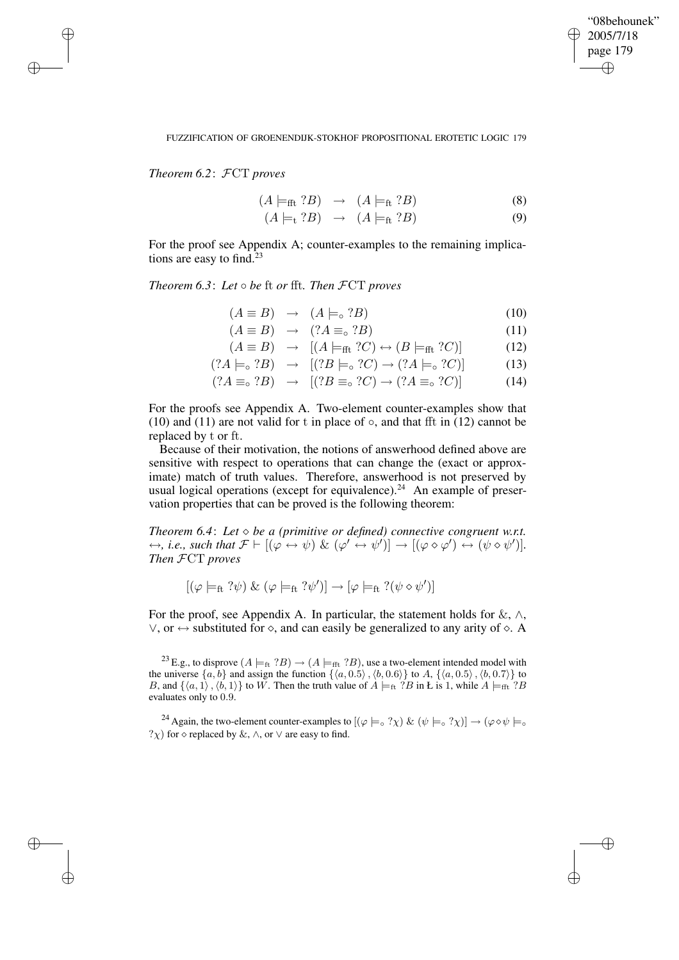✐

### FUZZIFICATION OF GROENENDIJK-STOKHOF PROPOSITIONAL EROTETIC LOGIC 179

*Theorem 6.2*: FCT *proves*

✐

✐

✐

✐

$$
(A \models_{\text{fft}} ?B) \rightarrow (A \models_{\text{ft}} ?B) \tag{8}
$$

$$
(A \models_{\mathsf{t}} ?B) \rightarrow (A \models_{\mathsf{ft}} ?B) \tag{9}
$$

For the proof see Appendix A; counter-examples to the remaining implications are easy to find. $23$ 

*Theorem 6.3*: *Let* ◦ *be* ft *or* fft*. Then* FCT *proves*

$$
(A \equiv B) \rightarrow (A \models_{\circ} ?B) \tag{10}
$$

$$
(A \equiv B) \rightarrow (?A \equiv_{\circ} ?B) \tag{11}
$$

$$
(A \equiv B) \rightarrow [(A \models_{\text{fft}} ?C) \leftrightarrow (B \models_{\text{fft}} ?C)] \tag{12}
$$

$$
(?A \models_{\circ} ?B) \rightarrow [(?B \models_{\circ} ?C) \rightarrow (?A \models_{\circ} ?C)] \tag{13}
$$

$$
(?A \equiv_{\circ} ?B) \rightarrow [(?B \equiv_{\circ} ?C) \rightarrow (?A \equiv_{\circ} ?C)] \tag{14}
$$

For the proofs see Appendix A. Two-element counter-examples show that (10) and (11) are not valid for t in place of  $\circ$ , and that fft in (12) cannot be replaced by t or ft.

Because of their motivation, the notions of answerhood defined above are sensitive with respect to operations that can change the (exact or approximate) match of truth values. Therefore, answerhood is not preserved by usual logical operations (except for equivalence).<sup>24</sup> An example of preservation properties that can be proved is the following theorem:

*Theorem* 6.4: Let  $\Diamond$  *be a* (primitive or defined) connective congruent w.r.t.  $\leftrightarrow$ , *i.e.*, such that  $\mathcal{F} \vdash [(\varphi \leftrightarrow \psi) \& (\varphi' \leftrightarrow \psi')] \rightarrow [(\varphi \diamond \varphi') \leftrightarrow (\psi \diamond \psi')]$ . *Then* FCT *proves*

$$
[(\varphi \models_{ft} ?\psi) \& (\varphi \models_{ft} ?\psi')] \rightarrow [\varphi \models_{ft} ?(\psi \diamond \psi')]
$$

For the proof, see Appendix A. In particular, the statement holds for  $\&, \wedge, \wedge$  $\lor$ , or  $\leftrightarrow$  substituted for  $\diamond$ , and can easily be generalized to any arity of  $\diamond$ . A

<sup>23</sup> E.g., to disprove  $(A \models_{ft} ?B) \rightarrow (A \models_{fft} ?B)$ , use a two-element intended model with the universe  $\{a, b\}$  and assign the function  $\{\langle a, 0.5\rangle, \langle b, 0.6\rangle\}$  to A,  $\{\langle a, 0.5\rangle, \langle b, 0.7\rangle\}$  to B, and  $\{\langle a, 1\rangle, \langle b, 1\rangle\}$  to W. Then the truth value of  $A \models_{ft} ?B$  in Ł is 1, while  $A \models_{fft} ?B$ evaluates only to 0.9.

<sup>24</sup> Again, the two-element counter-examples to  $[(\varphi \models \circ ? \chi) \& (\psi \models \circ ? \chi)] \rightarrow (\varphi \diamond \psi \models \circ \circ \psi)$  $?x)$  for  $\diamond$  replaced by &,  $\land$ , or  $\lor$  are easy to find.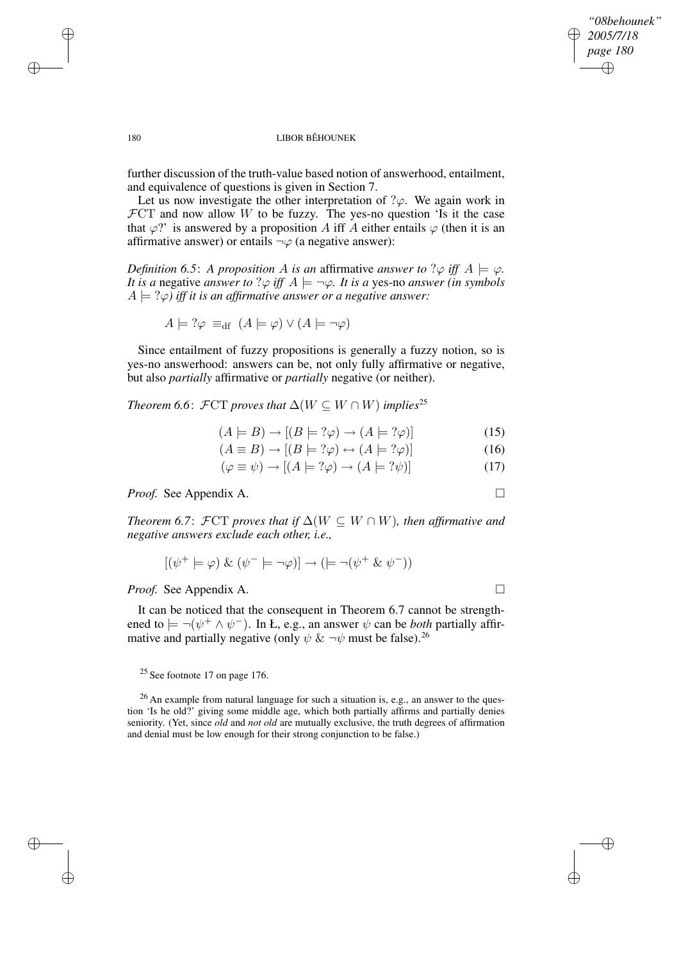✐

## 180 LIBOR BĚHOUNEK

further discussion of the truth-value based notion of answerhood, entailment, and equivalence of questions is given in Section 7.

Let us now investigate the other interpretation of  $\partial \varphi$ . We again work in  $\mathcal{F}CT$  and now allow W to be fuzzy. The yes-no question 'Is it the case that  $\varphi$ ?' is answered by a proposition A iff A either entails  $\varphi$  (then it is an affirmative answer) or entails  $\neg \varphi$  (a negative answer):

*Definition* 6.5: *A proposition A is an affirmative answer to*  $\varphi$  *iff*  $A \models \varphi$ . *It is a* negative *answer to*  $?$  $\varphi$  *iff*  $A \models \neg \varphi$ *. It is a* yes-no *answer (in symbols*  $A \models ?\varphi$  *iff it is an affirmative answer or a negative answer:* 

$$
A \models ?\varphi \equiv_{\text{df}} (A \models \varphi) \lor (A \models \neg \varphi)
$$

Since entailment of fuzzy propositions is generally a fuzzy notion, so is yes-no answerhood: answers can be, not only fully affirmative or negative, but also *partially* affirmative or *partially* negative (or neither).

*Theorem* 6.6:  $\mathcal{F}CT$  *proves that*  $\Delta(W \subseteq W \cap W)$  *implies*<sup>25</sup>

$$
(A \models B) \rightarrow [(B \models ?\varphi) \rightarrow (A \models ?\varphi)] \tag{15}
$$

$$
(A \equiv B) \rightarrow [(B \models ?\varphi) \leftrightarrow (A \models ?\varphi)] \tag{16}
$$

$$
(\varphi \equiv \psi) \rightarrow [(A \models ?\varphi) \rightarrow (A \models ?\psi)] \tag{17}
$$

*Proof.* See Appendix A. □

*Theorem* 6.7:  $\mathcal{F}CT$  *proves that if*  $\Delta(W \subseteq W \cap W)$ *, then affirmative and negative answers exclude each other, i.e.,*

$$
[(\psi^+ \models \varphi) \And (\psi^- \models \neg \varphi)] \to (\models \neg (\psi^+ \And \psi^-))
$$

*Proof.* See Appendix A. □

It can be noticed that the consequent in Theorem 6.7 cannot be strengthened to  $\models \neg(\psi^+ \land \psi^-)$ . In *Ł*, e.g., an answer  $\psi$  can be *both* partially affirmative and partially negative (only  $\psi \& \neg \psi$  must be false).<sup>26</sup>

 $25$  See footnote 17 on page 176.

<sup>26</sup> An example from natural language for such a situation is, e.g., an answer to the question 'Is he old?' giving some middle age, which both partially affirms and partially denies seniority. (Yet, since *old* and *not old* are mutually exclusive, the truth degrees of affirmation and denial must be low enough for their strong conjunction to be false.)

✐

✐

✐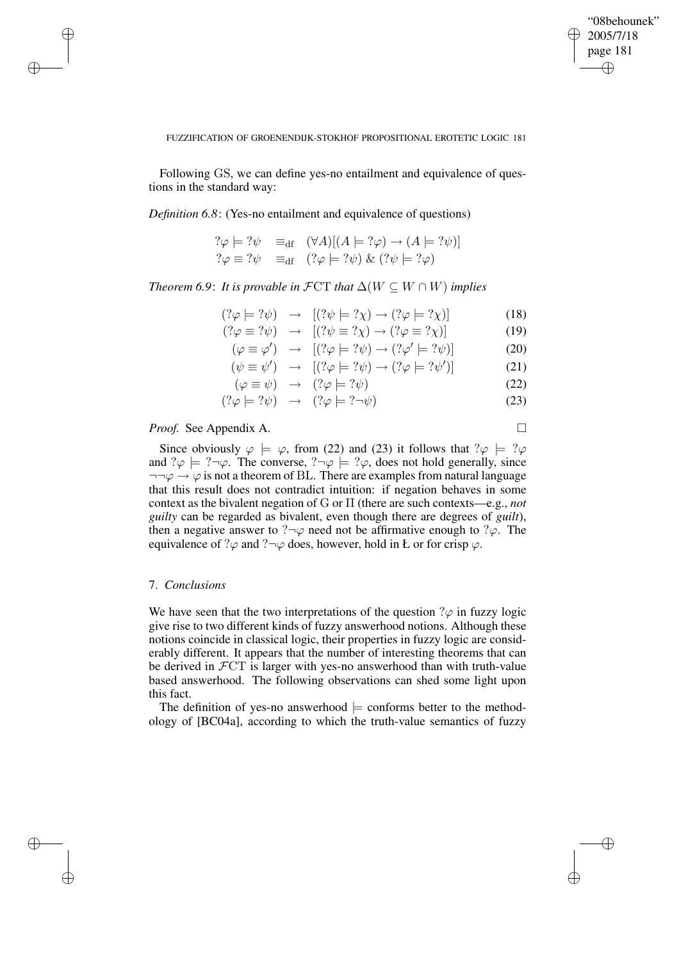✐

### FUZZIFICATION OF GROENENDIJK-STOKHOF PROPOSITIONAL EROTETIC LOGIC 181

Following GS, we can define yes-no entailment and equivalence of questions in the standard way:

*Definition 6.8*: (Yes-no entailment and equivalence of questions)

$$
? \varphi \models ?\psi \equiv_{df} (\forall A)[(A \models ?\varphi) \rightarrow (A \models ?\psi)]
$$
  

$$
? \varphi \equiv ?\psi \equiv_{df} (? \varphi \models ?\psi) \& (? \psi \models ?\varphi)
$$

*Theorem* 6.9: *It is provable in*  $\mathcal{F}CT$  *that*  $\Delta(W \subseteq W \cap W)$  *implies* 

$$
(?\varphi \models ?\psi) \rightarrow [(?\psi \models ?\chi) \rightarrow (? \varphi \models ?\chi)] \tag{18}
$$

$$
(? \varphi \equiv ? \psi) \rightarrow [(? \psi \equiv ? \chi) \rightarrow (? \varphi \equiv ? \chi)] \tag{19}
$$

$$
(\varphi \equiv \varphi') \rightarrow [(? \varphi \models ? \psi) \rightarrow (? \varphi' \models ? \psi)] \tag{20}
$$

$$
(\psi \equiv \psi') \rightarrow [(? \varphi \models ? \psi) \rightarrow (? \varphi \models ? \psi')] \tag{21}
$$

$$
(\varphi \equiv \psi) \rightarrow (?\varphi \models ?\psi) \tag{22}
$$

$$
(?\varphi \models ?\psi) \rightarrow (?\varphi \models ?\neg \psi) \tag{23}
$$

# *Proof.* See Appendix A. □

✐

✐

✐

✐

Since obviously  $\varphi \models \varphi$ , from (22) and (23) it follows that  $? \varphi \models ?\varphi$ and  $?$  $\varphi \models ?\neg \varphi$ . The converse,  $? \neg \varphi \models ?\varphi$ , does not hold generally, since  $\neg\neg\varphi \rightarrow \varphi$  is not a theorem of BL. There are examples from natural language that this result does not contradict intuition: if negation behaves in some context as the bivalent negation of G or Π (there are such contexts—e.g., *not guilty* can be regarded as bivalent, even though there are degrees of *guilt*), then a negative answer to ? $\neg \varphi$  need not be affirmative enough to ? $\varphi$ . The equivalence of ? $\varphi$  and ? $\neg \varphi$  does, however, hold in Ł or for crisp  $\varphi$ .

### 7. *Conclusions*

We have seen that the two interpretations of the question  $\partial \varphi$  in fuzzy logic give rise to two different kinds of fuzzy answerhood notions. Although these notions coincide in classical logic, their properties in fuzzy logic are considerably different. It appears that the number of interesting theorems that can be derived in FCT is larger with yes-no answerhood than with truth-value based answerhood. The following observations can shed some light upon this fact.

The definition of yes-no answerhood  $\models$  conforms better to the methodology of [BC04a], according to which the truth-value semantics of fuzzy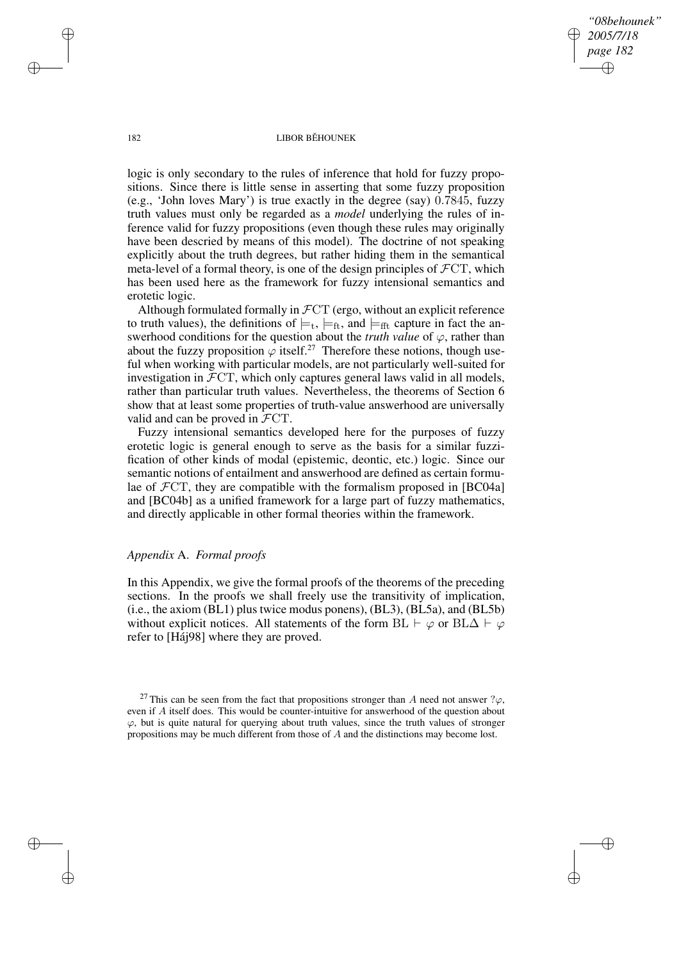*"08behounek" 2005/7/18 page 182* ✐ ✐

✐

✐

#### 182 LIBOR BĚHOUNEK

logic is only secondary to the rules of inference that hold for fuzzy propositions. Since there is little sense in asserting that some fuzzy proposition (e.g., 'John loves Mary') is true exactly in the degree (say) 0.7845, fuzzy truth values must only be regarded as a *model* underlying the rules of inference valid for fuzzy propositions (even though these rules may originally have been descried by means of this model). The doctrine of not speaking explicitly about the truth degrees, but rather hiding them in the semantical meta-level of a formal theory, is one of the design principles of  $\mathcal{F}CT$ , which has been used here as the framework for fuzzy intensional semantics and erotetic logic.

Although formulated formally in  $\mathcal{F}CT$  (ergo, without an explicit reference to truth values), the definitions of  $\models_t, \models_{ft}$ , and  $\models_{fft}$  capture in fact the answerhood conditions for the question about the *truth value* of  $\varphi$ , rather than about the fuzzy proposition  $\varphi$  itself.<sup>27</sup> Therefore these notions, though useful when working with particular models, are not particularly well-suited for investigation in  $\mathcal{F}CT$ , which only captures general laws valid in all models, rather than particular truth values. Nevertheless, the theorems of Section 6 show that at least some properties of truth-value answerhood are universally valid and can be proved in FCT.

Fuzzy intensional semantics developed here for the purposes of fuzzy erotetic logic is general enough to serve as the basis for a similar fuzzification of other kinds of modal (epistemic, deontic, etc.) logic. Since our semantic notions of entailment and answerhood are defined as certain formulae of  $\mathcal{F}CT$ , they are compatible with the formalism proposed in [BC04a] and [BC04b] as a unified framework for a large part of fuzzy mathematics, and directly applicable in other formal theories within the framework.

## *Appendix* A. *Formal proofs*

In this Appendix, we give the formal proofs of the theorems of the preceding sections. In the proofs we shall freely use the transitivity of implication, (i.e., the axiom (BL1) plus twice modus ponens), (BL3), (BL5a), and (BL5b) without explicit notices. All statements of the form BL  $\vdash \varphi$  or BL $\Delta \vdash \varphi$ refer to [Háj98] where they are proved.

✐

✐

✐

<sup>&</sup>lt;sup>27</sup> This can be seen from the fact that propositions stronger than A need not answer  $\gamma_{\varphi}$ , even if A itself does. This would be counter-intuitive for answerhood of the question about  $\varphi$ , but is quite natural for querying about truth values, since the truth values of stronger propositions may be much different from those of A and the distinctions may become lost.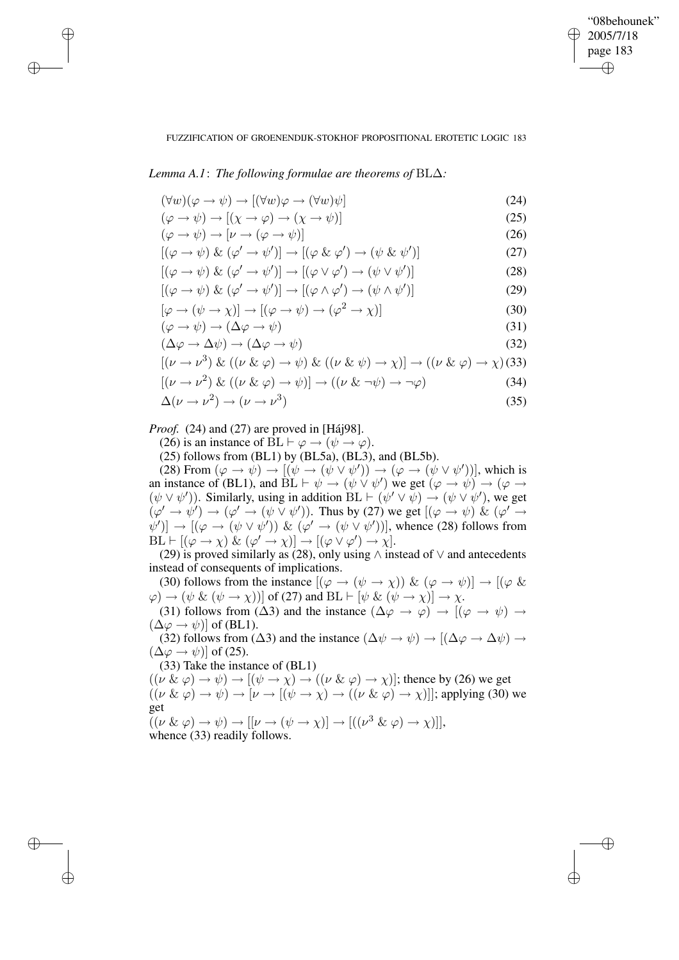✐

## FUZZIFICATION OF GROENENDIJK-STOKHOF PROPOSITIONAL EROTETIC LOGIC 183

*Lemma A.1*: *The following formulae are theorems of* BL∆*:*

✐

✐

✐

✐

$$
(\forall w)(\varphi \to \psi) \to [(\forall w)\varphi \to (\forall w)\psi]
$$
\n(24)

$$
(\varphi \to \psi) \to [(\chi \to \varphi) \to (\chi \to \psi)] \tag{25}
$$

$$
(\varphi \to \psi) \to [\nu \to (\varphi \to \psi)] \tag{26}
$$
  

$$
[(\varphi \to \psi)] \mathcal{R}_L (\varphi' \to \psi')] \to [(\varphi \mathcal{R}_L \varphi') \to (\psi \mathcal{R}_L \psi')]
$$

$$
[(\varphi \to \psi) \& (\varphi' \to \psi')] \to [(\varphi \& \varphi') \to (\psi \& \psi')]
$$
(27)

$$
[(\varphi \to \psi) \& (\varphi' \to \psi')] \to [(\varphi \lor \varphi') \to (\psi \lor \psi')]
$$
(28)

$$
[(\varphi \to \psi) \& (\varphi' \to \psi')] \to [(\varphi \land \varphi') \to (\psi \land \psi')]
$$
 (29)

$$
[\varphi \to (\psi \to \chi)] \to [(\varphi \to \psi) \to (\varphi^2 \to \chi)] \tag{30}
$$

$$
(\varphi \to \psi) \to (\Delta \varphi \to \psi) \tag{31}
$$
\n
$$
(\Delta \varphi \to \Delta \psi) \to (\Delta \varphi \to \psi) \tag{32}
$$

$$
(\Delta \varphi \to \Delta \psi) \to (\Delta \varphi \to \psi) \tag{52}
$$

$$
[(\nu \to \nu^3) \& ((\nu \& \varphi) \to \psi) \& ((\nu \& \psi) \to \chi)] \to ((\nu \& \varphi) \to \chi) \text{ (33)}
$$

$$
[(\nu \to \nu^2) \& ((\nu \& \varphi) \to \psi)] \to ((\nu \& \neg \psi) \to \neg \varphi) \tag{34}
$$

$$
\Delta(\nu \to \nu^2) \to (\nu \to \nu^3) \tag{35}
$$

*Proof.* (24) and (27) are proved in [Háj98].

(26) is an instance of  $BL \vdash \varphi \rightarrow (\psi \rightarrow \varphi)$ .

 $(25)$  follows from  $(BL1)$  by  $(BL5a)$ ,  $(BL3)$ , and  $(BL5b)$ .

(28) From  $(\varphi \to \psi) \to [(\psi \to (\psi \lor \psi')) \to (\varphi \to (\psi \lor \psi'))]$ , which is an instance of (BL1), and  $\overline{BL} \vdash \psi \rightarrow (\psi \lor \psi')$  we get  $(\varphi \rightarrow \psi) \rightarrow (\varphi \rightarrow \psi)$  $(\psi \vee \psi')$ ). Similarly, using in addition  $BL \vdash (\psi' \vee \psi) \rightarrow (\psi \vee \psi')$ , we get  $(\varphi' \to \psi') \to (\varphi' \to (\psi \lor \psi'))$ . Thus by (27) we get  $[(\varphi \to \psi) \& (\varphi' \to \psi')]$  $[\psi')] \rightarrow [(\varphi \rightarrow (\psi \vee \psi')) \& (\varphi' \rightarrow (\psi \vee \psi'))]$ , whence (28) follows from  $BL \vdash [(\varphi \to \chi) \& (\varphi' \to \chi)] \to [(\varphi \lor \varphi') \to \chi].$ 

(29) is proved similarly as (28), only using  $\wedge$  instead of  $\vee$  and antecedents instead of consequents of implications.

(30) follows from the instance  $[(\varphi \to (\psi \to \chi)) \& (\varphi \to \psi)] \to [(\varphi \&$  $\varphi$   $\rightarrow$   $(\psi \& (\psi \rightarrow \chi))]$  of (27) and BL  $\vdash [\psi \& (\psi \rightarrow \chi)] \rightarrow \chi$ . (31) follows from ( $\Delta$ 3) and the instance  $(\Delta \varphi \rightarrow \varphi) \rightarrow [(\varphi \rightarrow \psi) \rightarrow$  $(\Delta \varphi \rightarrow \psi)$  of (BL1).

(32) follows from ( $\Delta$ 3) and the instance  $(\Delta \psi \rightarrow \psi) \rightarrow [(\Delta \varphi \rightarrow \Delta \psi) \rightarrow$  $(\Delta \varphi \rightarrow \psi)$  of (25).

(33) Take the instance of (BL1)

 $((\nu \& \varphi) \rightarrow \psi) \rightarrow [(\psi \rightarrow \chi) \rightarrow ((\nu \& \varphi) \rightarrow \chi)]$ ; thence by (26) we get  $((\nu \& \varphi) \rightarrow \psi) \rightarrow [\nu \rightarrow [(\psi \rightarrow \chi) \rightarrow ((\nu \& \varphi) \rightarrow \chi)]]$ ; applying (30) we get  $((\nu \& \varphi) \rightarrow \psi) \rightarrow [[\nu \rightarrow (\psi \rightarrow \chi)] \rightarrow [((\nu^3 \& \varphi) \rightarrow \chi)]],$ 

whence 
$$
(33)
$$
 readily follows.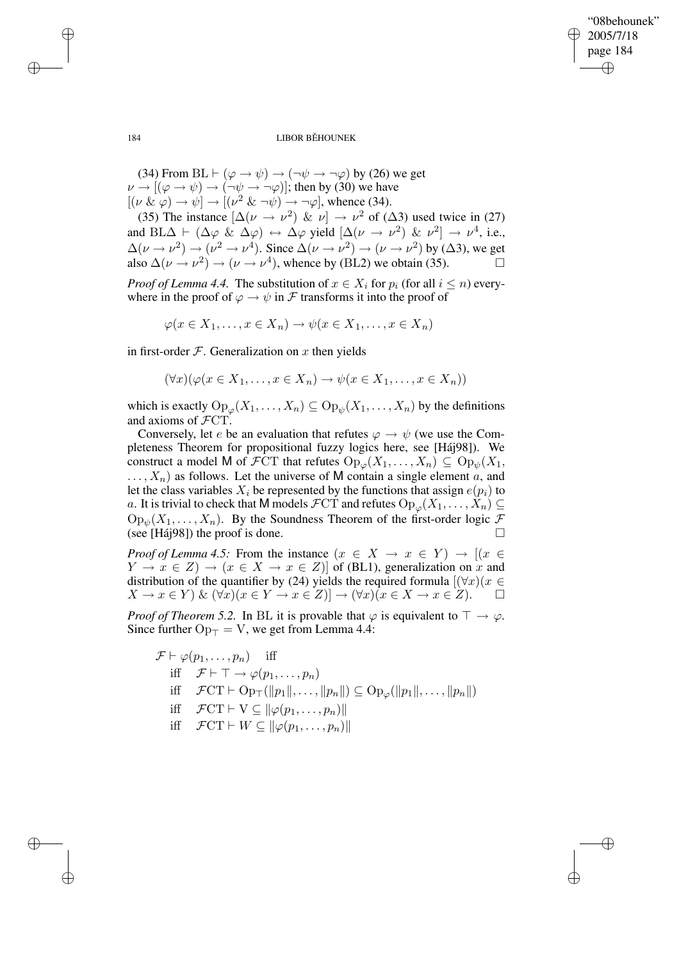✐

184 LIBOR BĚHOUNEK

(34) From BL  $\vdash (\varphi \rightarrow \psi) \rightarrow (\neg \psi \rightarrow \neg \varphi)$  by (26) we get  $\nu \rightarrow [(\varphi \rightarrow \psi) \rightarrow (\neg \psi \rightarrow \neg \varphi)]$ ; then by (30) we have  $[(\nu \& \varphi) \rightarrow \psi] \rightarrow [(\nu^2 \& \neg \psi) \rightarrow \neg \varphi]$ , whence (34).

(35) The instance  $[\Delta(\nu \to \nu^2) \& \nu] \to \nu^2$  of ( $\Delta$ 3) used twice in (27) and  $BL\Delta \vdash (\Delta \varphi \& \Delta \varphi) \leftrightarrow \Delta \varphi$  yield  $[\Delta(\nu \rightarrow \nu^2) \& \nu^2] \rightarrow \nu^4$ , i.e.,  $\Delta(\nu \to \nu^2) \to (\nu^2 \to \nu^4)$ . Since  $\Delta(\nu \to \nu^2) \to (\nu \to \nu^2)$  by ( $\Delta$ 3), we get also  $\Delta(\nu \to \nu^2) \to (\nu \to \nu^4)$ , whence by (BL2) we obtain (35).

*Proof of Lemma 4.4.* The substitution of  $x \in X_i$  for  $p_i$  (for all  $i \leq n$ ) everywhere in the proof of  $\varphi \to \psi$  in F transforms it into the proof of

 $\varphi(x \in X_1, \ldots, x \in X_n) \to \psi(x \in X_1, \ldots, x \in X_n)$ 

in first-order  $F$ . Generalization on x then yields

$$
(\forall x)(\varphi(x \in X_1, \ldots, x \in X_n) \to \psi(x \in X_1, \ldots, x \in X_n))
$$

which is exactly  $\mathrm{Op}_{\varphi}(X_1,\ldots,X_n) \subseteq \mathrm{Op}_{\psi}(X_1,\ldots,X_n)$  by the definitions and axioms of FCT.

Conversely, let e be an evaluation that refutes  $\varphi \to \psi$  (we use the Completeness Theorem for propositional fuzzy logics here, see [Háj98]). We construct a model M of  $\mathcal{F}CT$  that refutes  $Op_{\varphi}(X_1, \ldots, X_n) \subseteq Op_{\psi}(X_1, \ldots, X_n)$  $\ldots, X_n$  as follows. Let the universe of M contain a single element a, and let the class variables  $X_i$  be represented by the functions that assign  $e(p_i)$  to a. It is trivial to check that M models  $\mathcal{F}CT$  and refutes  $Op_{\varphi}(X_1,\ldots,X_n) \subseteq$  $Op_{\psi}(X_1,\ldots,X_n)$ . By the Soundness Theorem of the first-order logic  $\mathcal F$ (see [Háj98]) the proof is done.  $\Box$ 

*Proof of Lemma 4.5:* From the instance  $(x \in X \rightarrow x \in Y) \rightarrow [(x \in Y)]$  $Y \to x \in Z$   $\to (x \in X \to x \in Z)$  of (BL1), generalization on x and distribution of the quantifier by (24) yields the required formula  $[(\forall x)(x \in$  $X \to x \in Y$ ) &  $(\forall x)(x \in Y \to x \in Z)$ ]  $\to (\forall x)(x \in X \to x \in Z)$ .  $\Box$ 

*Proof of Theorem 5.2.* In BL it is provable that  $\varphi$  is equivalent to  $\top \to \varphi$ . Since further  $Op<sub>T</sub> = V$ , we get from Lemma 4.4:

$$
\mathcal{F} \vdash \varphi(p_1, \dots, p_n) \quad \text{iff} \quad \text{if} \quad \mathcal{F} \vdash \top \to \varphi(p_1, \dots, p_n) \quad \text{if} \quad \mathcal{F} \vdash \top \to \varphi(p_1, \dots, p_n) \quad \text{if} \quad \mathcal{F} \text{CT} \vdash \text{Op}_{\top}(\Vert p_1 \Vert, \dots, \Vert p_n \Vert) \subseteq \text{Op}_{\varphi}(\Vert p_1 \Vert, \dots, \Vert p_n \Vert) \quad \text{if} \quad \mathcal{F} \text{CT} \vdash \text{V} \subseteq \Vert \varphi(p_1, \dots, p_n) \Vert \quad \text{if} \quad \mathcal{F} \text{CT} \vdash \text{W} \subseteq \Vert \varphi(p_1, \dots, p_n) \Vert
$$

✐

✐

✐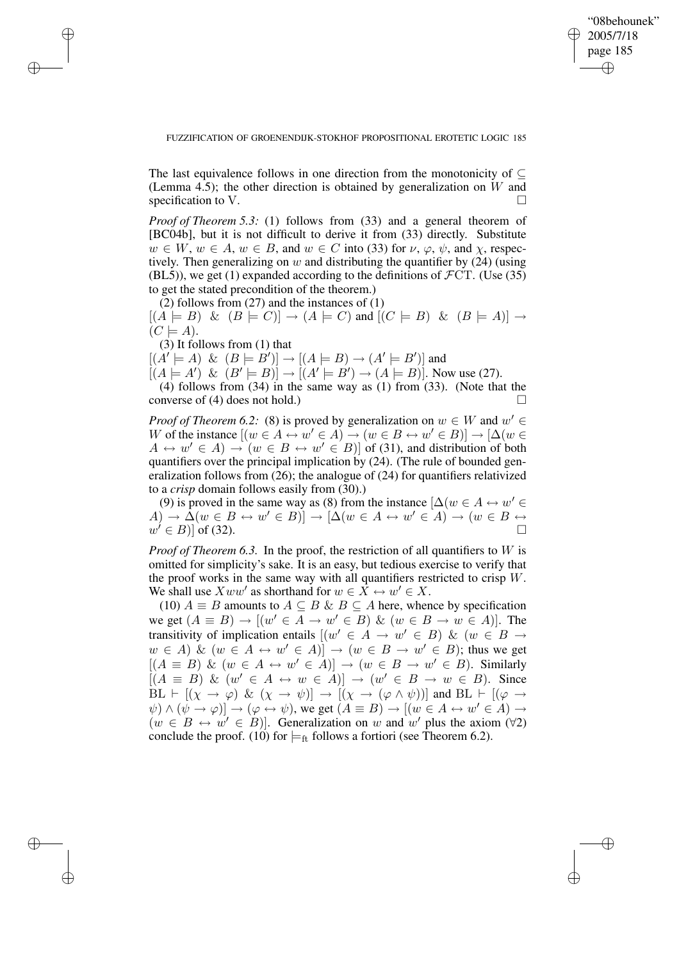✐

### FUZZIFICATION OF GROENENDIJK-STOKHOF PROPOSITIONAL EROTETIC LOGIC 185

The last equivalence follows in one direction from the monotonicity of  $\subset$ (Lemma 4.5); the other direction is obtained by generalization on  $W$  and specification to V.

*Proof of Theorem 5.3:* (1) follows from (33) and a general theorem of [BC04b], but it is not difficult to derive it from (33) directly. Substitute  $w \in W$ ,  $w \in A$ ,  $w \in B$ , and  $w \in C$  into (33) for  $\nu$ ,  $\varphi$ ,  $\psi$ , and  $\chi$ , respectively. Then generalizing on  $w$  and distributing the quantifier by  $(24)$  (using (BL5)), we get (1) expanded according to the definitions of  $\mathcal{F}CT$ . (Use (35) to get the stated precondition of the theorem.)

(2) follows from  $(27)$  and the instances of  $(1)$  $[(A \models B) \& (B \models C)] \rightarrow (A \models C)$  and  $[(C \models B) \& (B \models A)] \rightarrow$  $(C \models A).$ 

(3) It follows from (1) that

✐

✐

✐

✐

 $[(A' \models A) \& (B \models B')] \rightarrow [(A \models B) \rightarrow (A' \models B')]$  and

 $[(A \models A') \& (B' \models B)] \rightarrow [(A' \models B') \rightarrow (A \models B)]$ . Now use (27).

(4) follows from (34) in the same way as (1) from (33). (Note that the converse of (4) does not hold.)  $\Box$ 

*Proof of Theorem* 6.2: (8) is proved by generalization on  $w \in W$  and  $w' \in$ W of the instance  $[(w \in A \leftrightarrow w' \in A) \rightarrow (w \in B \leftrightarrow w' \in B)] \rightarrow [\Delta (w \in A)]$  $A \leftrightarrow w' \in A$   $\rightarrow$   $(w \in B \leftrightarrow w' \in B)$  of (31), and distribution of both quantifiers over the principal implication by (24). (The rule of bounded generalization follows from (26); the analogue of (24) for quantifiers relativized to a *crisp* domain follows easily from (30).)

(9) is proved in the same way as (8) from the instance  $[\Delta(w \in A \leftrightarrow w' \in A])$  $(A) \to \tilde{\Delta}(w \in B \leftrightarrow w' \in B)] \to [\Delta(w \in A \leftrightarrow w' \in A) \to (w \in B \leftrightarrow \Delta)$  $w' \in B$ )] of (32).

*Proof of Theorem 6.3.* In the proof, the restriction of all quantifiers to W is omitted for simplicity's sake. It is an easy, but tedious exercise to verify that the proof works in the same way with all quantifiers restricted to crisp  $W$ . We shall use  $Xww'$  as shorthand for  $w \in \overline{X} \leftrightarrow w' \in X$ .

(10)  $A \equiv B$  amounts to  $A \subseteq B \& B \subseteq A$  here, whence by specification we get  $(A \equiv B) \rightarrow [(w' \in A \rightarrow w' \in B) \& (w \in B \rightarrow w \in A)]$ . The transitivity of implication entails  $[(w' \in A \rightarrow w' \in B) \& (w \in B \rightarrow$  $w \in A$ )  $\&$   $(w \in A \leftrightarrow w' \in A)$   $\rightarrow$   $(w \in B \rightarrow w' \in B)$ ; thus we get  $[(A \equiv B) \& (w \in A \leftrightarrow w' \in A)] \rightarrow (w \in B \rightarrow w' \in B)$ . Similarly  $[(A \equiv B) \& (w' \in A \leftrightarrow w \in A)] \rightarrow (w' \in B \rightarrow w \in B)$ . Since  $BL \vdash [(\chi \rightarrow \varphi) \& (\chi \rightarrow \psi)] \rightarrow [(\chi \rightarrow (\varphi \wedge \psi))]$  and  $BL \vdash [(\varphi \rightarrow \psi)]$  $\psi$ )  $\land$   $(\psi \rightarrow \varphi)] \rightarrow (\varphi \leftrightarrow \psi)$ , we get  $(A \equiv B) \rightarrow [(w \in A \leftrightarrow w' \in A) \rightarrow$  $(w \in B \leftrightarrow w' \in B)$ . Generalization on w and w' plus the axiom ( $\forall$ 2) conclude the proof. (10) for  $\models$ <sub>ft</sub> follows a fortiori (see Theorem 6.2).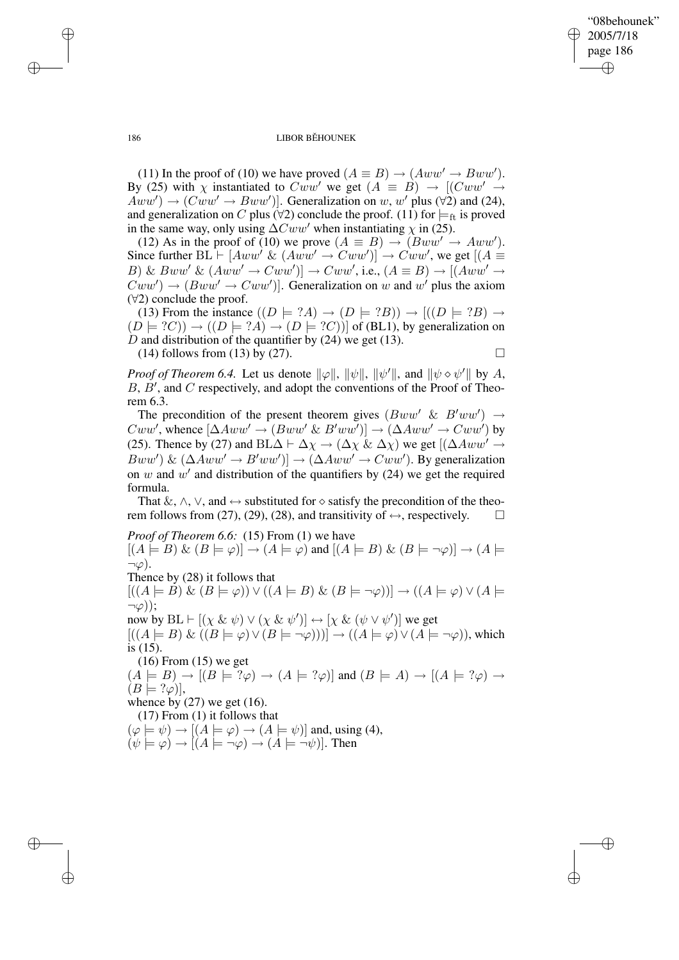✐

#### 186 LIBOR BĚHOUNEK

(11) In the proof of (10) we have proved  $(A \equiv B) \rightarrow (Aww' \rightarrow Bww')$ . By (25) with  $\chi$  instantiated to  $Cww'$  we get  $(A \equiv B) \rightarrow [(Cww' \rightarrow$  $Aww'$ )  $\rightarrow$   $(Cww' \rightarrow Bww')$ ]. Generalization on w, w' plus ( $\forall$ 2) and (24), and generalization on C plus ( $\forall$ 2) conclude the proof. (11) for  $\models$ <sub>ft</sub> is proved in the same way, only using  $\Delta Cww'$  when instantiating  $\chi$  in (25).

(12) As in the proof of (10) we prove  $(A \equiv B) \rightarrow (Bww' \rightarrow Aww')$ . Since further  $BL \vdash [Aww' \& (Aww' \rightarrow Cww')] \rightarrow Cww'$ , we get  $[(A \equiv$ B) & Bww' &  $(Aww' \rightarrow Cww')$ ]  $\rightarrow Cww'$ , i.e.,  $(A \equiv B) \rightarrow [(Aww' \rightarrow$  $Cww' \rightarrow (Bww' \rightarrow Cww')]$ . Generalization on w and w' plus the axiom  $(\forall 2)$  conclude the proof.

(13) From the instance  $((D \models ?A) \rightarrow (D \models ?B)) \rightarrow [(D \models ?B) \rightarrow$  $(D \models ?C)$   $\rightarrow$   $((D \models ?A) \rightarrow (D \models ?C))$  of (BL1), by generalization on D and distribution of the quantifier by  $(24)$  we get  $(13)$ . (14) follows from (13) by (27).  $\Box$ 

*Proof of Theorem 6.4.* Let us denote  $\|\varphi\|$ ,  $\|\psi\|$ ,  $\|\psi'\|$ , and  $\|\psi \diamond \psi'\|$  by A,  $B, B',$  and  $C$  respectively, and adopt the conventions of the Proof of Theorem 6.3.

The precondition of the present theorem gives  $(Bww' \& B'ww') \rightarrow$  $Cww'$ , whence  $[\Delta Aww' \rightarrow (Bww' \& B'ww')] \rightarrow (\Delta Aww' \rightarrow Cww')$  by (25). Thence by (27) and BL $\Delta \vdash \Delta \chi \rightarrow (\Delta \chi \& \Delta \chi)$  we get  $[(\Delta A w w' \rightarrow$  $Bww'$ ) &  $(\Delta Aww' \rightarrow B'ww')] \rightarrow (\Delta Aww' \rightarrow Cww')$ . By generalization on  $w$  and  $w'$  and distribution of the quantifiers by (24) we get the required formula.

That  $\&, \wedge, \vee,$  and  $\leftrightarrow$  substituted for  $\diamond$  satisfy the precondition of the theorem follows from (27), (29), (28), and transitivity of  $\leftrightarrow$ , respectively.  $\square$ 

*Proof of Theorem 6.6:* (15) From (1) we have  $[(A \models B) \& (B \models \varphi)] \rightarrow (A \models \varphi)$  and  $[(A \models B) \& (B \models \neg \varphi)] \rightarrow (A \models$  $\neg\varphi$ ). Thence by (28) it follows that  $[( (A \models B) \& (B \models \varphi)) \vee ((A \models B) \& (B \models \neg \varphi))] \rightarrow ((A \models \varphi) \vee (A \models \varphi))$  $\neg\varphi$ )):

now by  $BL \vdash [(\chi \& \psi) \lor (\chi \& \psi')] \leftrightarrow [\chi \& (\psi \lor \psi')]$  we get  $[(A \models B) \& ((B \models \varphi) \vee (B \models \neg \varphi))] \rightarrow ((A \models \varphi) \vee (A \models \neg \varphi))$ , which is (15).

(16) From (15) we get  $(A \models B) \rightarrow [(B \models \tilde{?}\varphi) \rightarrow (A \models ?\varphi)]$  and  $(B \models A) \rightarrow [(A \models ?\varphi) \rightarrow$  $(B \models ?\varphi)],$ 

whence by  $(27)$  we get  $(16)$ .

(17) From (1) it follows that

 $(\varphi \models \psi) \rightarrow [(A \models \varphi) \rightarrow (A \models \psi)]$  and, using (4),  $(\psi \models \varphi) \rightarrow | (A \models \neg \varphi) \rightarrow (A \models \neg \psi) |$ . Then

✐

✐

✐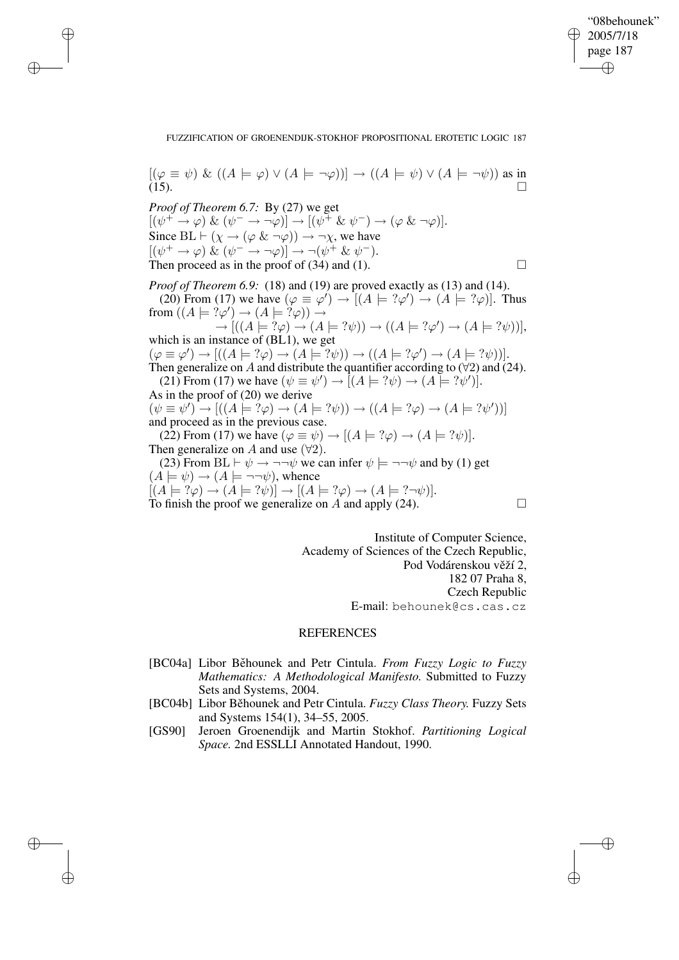### FUZZIFICATION OF GROENENDIJK-STOKHOF PROPOSITIONAL EROTETIC LOGIC 187

 $[(\varphi \equiv \psi) \& ((A \models \varphi) \vee (A \models \neg \varphi))] \rightarrow ((A \models \psi) \vee (A \models \neg \psi))$  as in (15). (15).  $(15)$ 

✐

✐

✐

✐

*Proof of Theorem 6.7:* By (27) we get  $[(\psi^+ \to \varphi) \& (\psi^- \to \neg \varphi)] \to [(\psi^+ \& \psi^-) \to (\varphi \& \neg \varphi)].$ Since  $BL \vdash (\chi \rightarrow (\varphi \& \neg \varphi)) \rightarrow \neg \chi$ , we have  $[(\psi^+ \to \varphi) \& (\psi^- \to \neg \varphi)] \to \neg (\psi^+ \& \psi^-).$ Then proceed as in the proof of (34) and (1).  $\Box$ 

*Proof of Theorem 6.9:* (18) and (19) are proved exactly as (13) and (14). (20) From (17) we have  $(\varphi \equiv \varphi') \rightarrow [(A \models ?\varphi') \rightarrow (A \models ?\varphi)]$ . Thus from  $((A \models ?\varphi') \rightarrow (A \models ?\varphi)) \rightarrow$  $\rightarrow$   $[( (A \models ?\varphi) \rightarrow (A \models ?\psi)) \rightarrow ((A \models ?\varphi') \rightarrow (A \models ?\psi))],$ which is an instance of  $(BL1)$ , we get  $(\varphi \equiv \varphi') \rightarrow [((A \models ?\varphi) \rightarrow (A \models ?\psi)) \rightarrow ((A \models ?\varphi') \rightarrow (A \models ?\psi))].$ Then generalize on A and distribute the quantifier according to  $(\forall 2)$  and  $(24)$ . (21) From (17) we have  $(\psi \equiv \psi') \rightarrow [(A \models ?\psi) \rightarrow (A \models ?\psi')]$ . As in the proof of (20) we derive  $(\psi \equiv \psi') \rightarrow [((A \models ?\varphi) \rightarrow (A \models ?\psi)) \rightarrow ((A \models ?\varphi) \rightarrow (A \models ?\psi'))]$ and proceed as in the previous case.

(22) From (17) we have  $(\varphi \equiv \psi) \rightarrow [(A \models ?\varphi) \rightarrow (A \models ?\psi)].$ Then generalize on A and use  $(\forall 2)$ .

(23) From BL  $\vdash \psi \rightarrow \neg\neg \psi$  we can infer  $\psi \models \neg\neg \psi$  and by (1) get  $(A \models \psi) \rightarrow (A \models \neg \neg \psi)$ , whence  $[(A \models ?\varphi) \rightarrow (A \models ?\psi)] \rightarrow [(A \models ?\varphi) \rightarrow (A \models ?\neg \psi)].$ To finish the proof we generalize on  $A$  and apply (24).  $\Box$ 

✐

✐

Institute of Computer Science, Academy of Sciences of the Czech Republic, Pod Vodárenskou věží 2, 182 07 Praha 8, Czech Republic E-mail: behounek@cs.cas.cz

# **REFERENCES**

- [BC04a] Libor Běhounek and Petr Cintula. *From Fuzzy Logic to Fuzzy Mathematics: A Methodological Manifesto.* Submitted to Fuzzy Sets and Systems, 2004.
- [BC04b] Libor Běhounek and Petr Cintula. *Fuzzy Class Theory*. Fuzzy Sets and Systems 154(1), 34–55, 2005.
- [GS90] Jeroen Groenendijk and Martin Stokhof. *Partitioning Logical Space.* 2nd ESSLLI Annotated Handout, 1990.